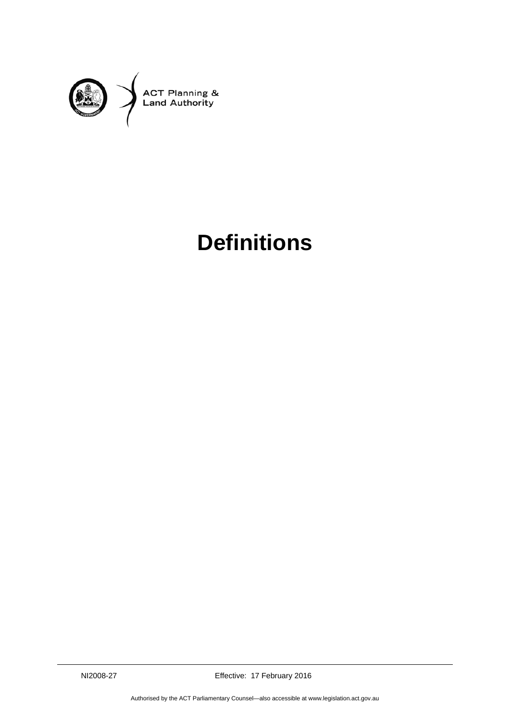

## **Definitions**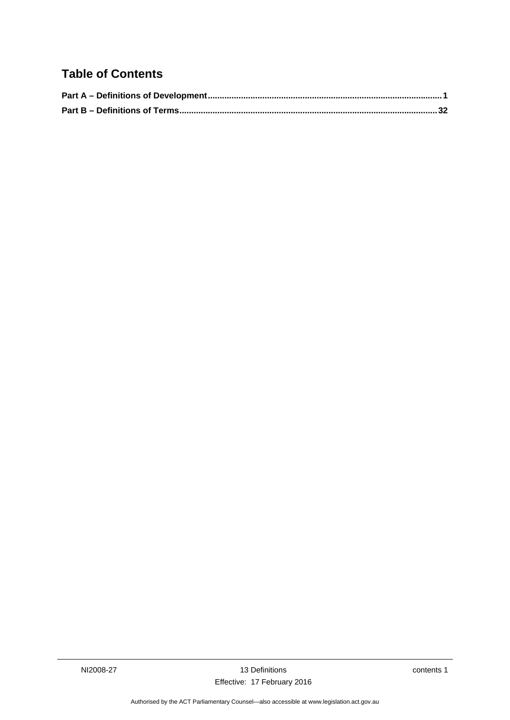## **Table of Contents**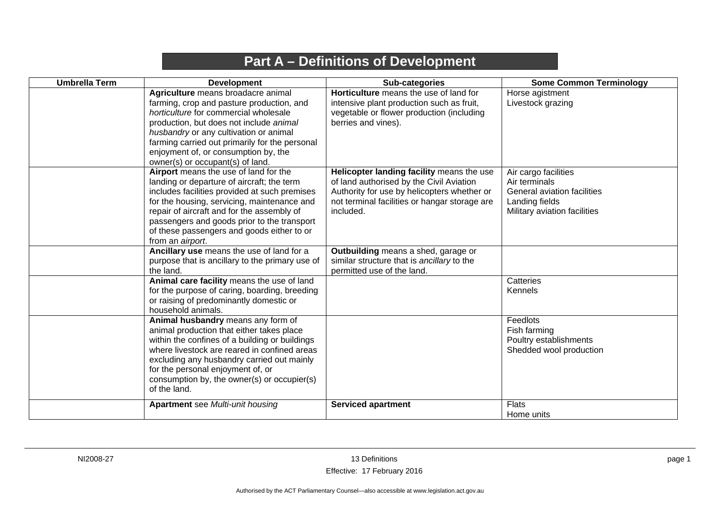## **Part A – Definitions of Development**

<span id="page-4-0"></span>

| <b>Umbrella Term</b> | <b>Development</b>                                                                                                                                                                                                                                                                                                                                 | Sub-categories                                                                                                                                                                                     | <b>Some Common Terminology</b>                                                                                         |
|----------------------|----------------------------------------------------------------------------------------------------------------------------------------------------------------------------------------------------------------------------------------------------------------------------------------------------------------------------------------------------|----------------------------------------------------------------------------------------------------------------------------------------------------------------------------------------------------|------------------------------------------------------------------------------------------------------------------------|
|                      | Agriculture means broadacre animal<br>farming, crop and pasture production, and<br>horticulture for commercial wholesale<br>production, but does not include animal<br>husbandry or any cultivation or animal<br>farming carried out primarily for the personal<br>enjoyment of, or consumption by, the<br>owner(s) or occupant(s) of land.        | Horticulture means the use of land for<br>intensive plant production such as fruit,<br>vegetable or flower production (including<br>berries and vines).                                            | Horse agistment<br>Livestock grazing                                                                                   |
|                      | Airport means the use of land for the<br>landing or departure of aircraft; the term<br>includes facilities provided at such premises<br>for the housing, servicing, maintenance and<br>repair of aircraft and for the assembly of<br>passengers and goods prior to the transport<br>of these passengers and goods either to or<br>from an airport. | Helicopter landing facility means the use<br>of land authorised by the Civil Aviation<br>Authority for use by helicopters whether or<br>not terminal facilities or hangar storage are<br>included. | Air cargo facilities<br>Air terminals<br>General aviation facilities<br>Landing fields<br>Military aviation facilities |
|                      | Ancillary use means the use of land for a<br>purpose that is ancillary to the primary use of<br>the land.                                                                                                                                                                                                                                          | Outbuilding means a shed, garage or<br>similar structure that is ancillary to the<br>permitted use of the land.                                                                                    |                                                                                                                        |
|                      | Animal care facility means the use of land<br>for the purpose of caring, boarding, breeding<br>or raising of predominantly domestic or<br>household animals.                                                                                                                                                                                       |                                                                                                                                                                                                    | Catteries<br>Kennels                                                                                                   |
|                      | Animal husbandry means any form of<br>animal production that either takes place<br>within the confines of a building or buildings<br>where livestock are reared in confined areas<br>excluding any husbandry carried out mainly<br>for the personal enjoyment of, or<br>consumption by, the owner(s) or occupier(s)<br>of the land.                |                                                                                                                                                                                                    | Feedlots<br>Fish farming<br>Poultry establishments<br>Shedded wool production                                          |
|                      | <b>Apartment</b> see Multi-unit housing                                                                                                                                                                                                                                                                                                            | <b>Serviced apartment</b>                                                                                                                                                                          | <b>Flats</b><br>Home units                                                                                             |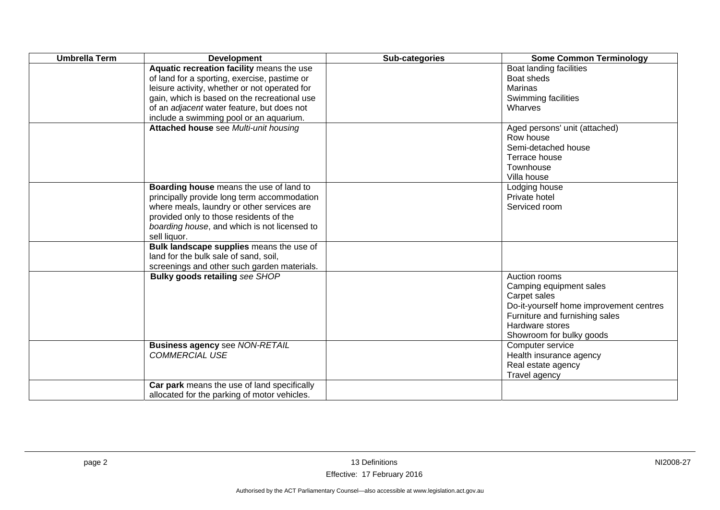| <b>Umbrella Term</b> | <b>Development</b>                                                                                                                                                                                                                                                                  | Sub-categories | <b>Some Common Terminology</b>                                                                                                                                                       |
|----------------------|-------------------------------------------------------------------------------------------------------------------------------------------------------------------------------------------------------------------------------------------------------------------------------------|----------------|--------------------------------------------------------------------------------------------------------------------------------------------------------------------------------------|
|                      | Aquatic recreation facility means the use<br>of land for a sporting, exercise, pastime or<br>leisure activity, whether or not operated for<br>gain, which is based on the recreational use<br>of an adjacent water feature, but does not<br>include a swimming pool or an aquarium. |                | Boat landing facilities<br>Boat sheds<br><b>Marinas</b><br>Swimming facilities<br>Wharves                                                                                            |
|                      | Attached house see Multi-unit housing                                                                                                                                                                                                                                               |                | Aged persons' unit (attached)<br>Row house<br>Semi-detached house<br>Terrace house<br>Townhouse<br>Villa house                                                                       |
|                      | Boarding house means the use of land to<br>principally provide long term accommodation<br>where meals, laundry or other services are<br>provided only to those residents of the<br>boarding house, and which is not licensed to<br>sell liquor.                                     |                | Lodging house<br>Private hotel<br>Serviced room                                                                                                                                      |
|                      | Bulk landscape supplies means the use of<br>land for the bulk sale of sand, soil,<br>screenings and other such garden materials.                                                                                                                                                    |                |                                                                                                                                                                                      |
|                      | <b>Bulky goods retailing see SHOP</b>                                                                                                                                                                                                                                               |                | Auction rooms<br>Camping equipment sales<br>Carpet sales<br>Do-it-yourself home improvement centres<br>Furniture and furnishing sales<br>Hardware stores<br>Showroom for bulky goods |
|                      | <b>Business agency see NON-RETAIL</b><br><b>COMMERCIAL USE</b>                                                                                                                                                                                                                      |                | Computer service<br>Health insurance agency<br>Real estate agency<br>Travel agency                                                                                                   |
|                      | Car park means the use of land specifically<br>allocated for the parking of motor vehicles.                                                                                                                                                                                         |                |                                                                                                                                                                                      |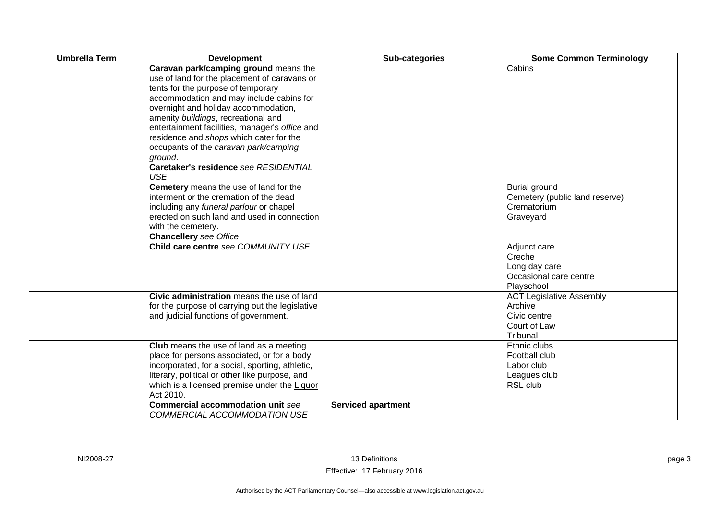| <b>Umbrella Term</b> | <b>Development</b>                                                                                                                                                                                                                                                                                                                                                                                      | Sub-categories            | <b>Some Common Terminology</b>                                                         |
|----------------------|---------------------------------------------------------------------------------------------------------------------------------------------------------------------------------------------------------------------------------------------------------------------------------------------------------------------------------------------------------------------------------------------------------|---------------------------|----------------------------------------------------------------------------------------|
|                      | Caravan park/camping ground means the<br>use of land for the placement of caravans or<br>tents for the purpose of temporary<br>accommodation and may include cabins for<br>overnight and holiday accommodation,<br>amenity buildings, recreational and<br>entertainment facilities, manager's office and<br>residence and shops which cater for the<br>occupants of the caravan park/camping<br>ground. |                           | Cabins                                                                                 |
|                      | Caretaker's residence see RESIDENTIAL<br><b>USE</b>                                                                                                                                                                                                                                                                                                                                                     |                           |                                                                                        |
|                      | Cemetery means the use of land for the<br>interment or the cremation of the dead<br>including any funeral parlour or chapel<br>erected on such land and used in connection<br>with the cemetery.                                                                                                                                                                                                        |                           | <b>Burial ground</b><br>Cemetery (public land reserve)<br>Crematorium<br>Graveyard     |
|                      | <b>Chancellery</b> see Office                                                                                                                                                                                                                                                                                                                                                                           |                           |                                                                                        |
|                      | Child care centre see COMMUNITY USE                                                                                                                                                                                                                                                                                                                                                                     |                           | Adjunct care<br>Creche<br>Long day care<br>Occasional care centre<br>Playschool        |
|                      | Civic administration means the use of land<br>for the purpose of carrying out the legislative<br>and judicial functions of government.                                                                                                                                                                                                                                                                  |                           | <b>ACT Legislative Assembly</b><br>Archive<br>Civic centre<br>Court of Law<br>Tribunal |
|                      | <b>Club</b> means the use of land as a meeting<br>place for persons associated, or for a body<br>incorporated, for a social, sporting, athletic,<br>literary, political or other like purpose, and<br>which is a licensed premise under the Liquor<br>Act 2010.                                                                                                                                         |                           | Ethnic clubs<br>Football club<br>Labor club<br>Leagues club<br>RSL club                |
|                      | <b>Commercial accommodation unit see</b><br>COMMERCIAL ACCOMMODATION USE                                                                                                                                                                                                                                                                                                                                | <b>Serviced apartment</b> |                                                                                        |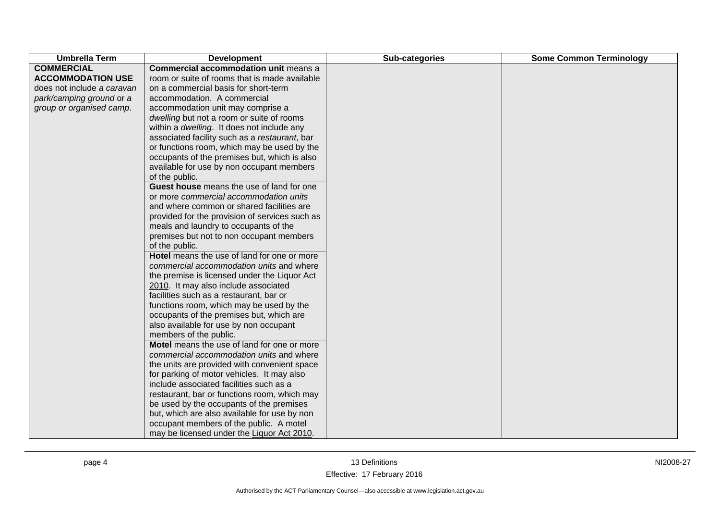| <b>Umbrella Term</b>       | <b>Development</b>                             | Sub-categories | <b>Some Common Terminology</b> |
|----------------------------|------------------------------------------------|----------------|--------------------------------|
| <b>COMMERCIAL</b>          | <b>Commercial accommodation unit means a</b>   |                |                                |
| <b>ACCOMMODATION USE</b>   | room or suite of rooms that is made available  |                |                                |
| does not include a caravan | on a commercial basis for short-term           |                |                                |
| park/camping ground or a   | accommodation. A commercial                    |                |                                |
| group or organised camp.   | accommodation unit may comprise a              |                |                                |
|                            | dwelling but not a room or suite of rooms      |                |                                |
|                            | within a dwelling. It does not include any     |                |                                |
|                            | associated facility such as a restaurant, bar  |                |                                |
|                            | or functions room, which may be used by the    |                |                                |
|                            | occupants of the premises but, which is also   |                |                                |
|                            | available for use by non occupant members      |                |                                |
|                            | of the public.                                 |                |                                |
|                            | Guest house means the use of land for one      |                |                                |
|                            | or more commercial accommodation units         |                |                                |
|                            | and where common or shared facilities are      |                |                                |
|                            | provided for the provision of services such as |                |                                |
|                            | meals and laundry to occupants of the          |                |                                |
|                            | premises but not to non occupant members       |                |                                |
|                            | of the public.                                 |                |                                |
|                            | Hotel means the use of land for one or more    |                |                                |
|                            | commercial accommodation units and where       |                |                                |
|                            | the premise is licensed under the Liquor Act   |                |                                |
|                            | 2010. It may also include associated           |                |                                |
|                            | facilities such as a restaurant, bar or        |                |                                |
|                            | functions room, which may be used by the       |                |                                |
|                            | occupants of the premises but, which are       |                |                                |
|                            | also available for use by non occupant         |                |                                |
|                            | members of the public.                         |                |                                |
|                            | Motel means the use of land for one or more    |                |                                |
|                            | commercial accommodation units and where       |                |                                |
|                            | the units are provided with convenient space   |                |                                |
|                            | for parking of motor vehicles. It may also     |                |                                |
|                            | include associated facilities such as a        |                |                                |
|                            | restaurant, bar or functions room, which may   |                |                                |
|                            | be used by the occupants of the premises       |                |                                |
|                            | but, which are also available for use by non   |                |                                |
|                            | occupant members of the public. A motel        |                |                                |
|                            | may be licensed under the Liquor Act 2010.     |                |                                |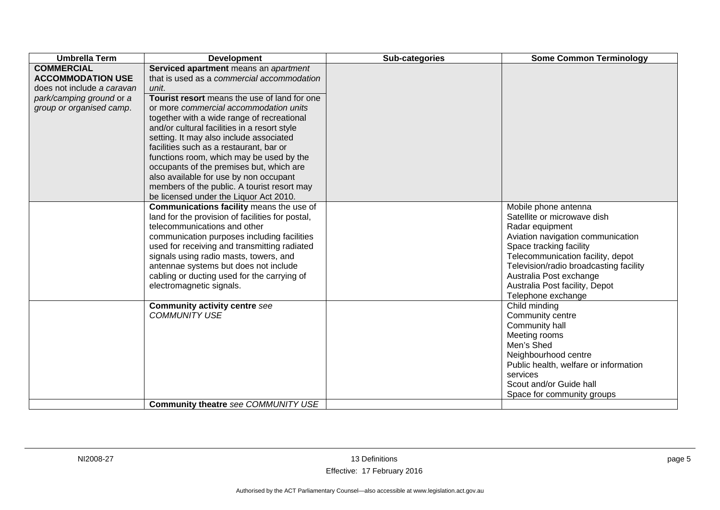| <b>Umbrella Term</b>       | <b>Development</b>                               | Sub-categories | <b>Some Common Terminology</b>                    |
|----------------------------|--------------------------------------------------|----------------|---------------------------------------------------|
| <b>COMMERCIAL</b>          | Serviced apartment means an apartment            |                |                                                   |
| <b>ACCOMMODATION USE</b>   | that is used as a commercial accommodation       |                |                                                   |
| does not include a caravan | unit.                                            |                |                                                   |
| park/camping ground or a   | Tourist resort means the use of land for one     |                |                                                   |
| group or organised camp.   | or more commercial accommodation units           |                |                                                   |
|                            | together with a wide range of recreational       |                |                                                   |
|                            | and/or cultural facilities in a resort style     |                |                                                   |
|                            | setting. It may also include associated          |                |                                                   |
|                            | facilities such as a restaurant, bar or          |                |                                                   |
|                            | functions room, which may be used by the         |                |                                                   |
|                            | occupants of the premises but, which are         |                |                                                   |
|                            | also available for use by non occupant           |                |                                                   |
|                            | members of the public. A tourist resort may      |                |                                                   |
|                            | be licensed under the Liquor Act 2010.           |                |                                                   |
|                            | Communications facility means the use of         |                | Mobile phone antenna                              |
|                            | land for the provision of facilities for postal, |                | Satellite or microwave dish                       |
|                            | telecommunications and other                     |                | Radar equipment                                   |
|                            | communication purposes including facilities      |                | Aviation navigation communication                 |
|                            | used for receiving and transmitting radiated     |                | Space tracking facility                           |
|                            | signals using radio masts, towers, and           |                | Telecommunication facility, depot                 |
|                            | antennae systems but does not include            |                | Television/radio broadcasting facility            |
|                            | cabling or ducting used for the carrying of      |                | Australia Post exchange                           |
|                            | electromagnetic signals.                         |                | Australia Post facility, Depot                    |
|                            |                                                  |                | Telephone exchange                                |
|                            | <b>Community activity centre see</b>             |                | Child minding                                     |
|                            | <b>COMMUNITY USE</b>                             |                | Community centre                                  |
|                            |                                                  |                | Community hall                                    |
|                            |                                                  |                | Meeting rooms<br>Men's Shed                       |
|                            |                                                  |                |                                                   |
|                            |                                                  |                | Neighbourhood centre                              |
|                            |                                                  |                | Public health, welfare or information<br>services |
|                            |                                                  |                | Scout and/or Guide hall                           |
|                            |                                                  |                |                                                   |
|                            | Community theatre see COMMUNITY USE              |                | Space for community groups                        |
|                            |                                                  |                |                                                   |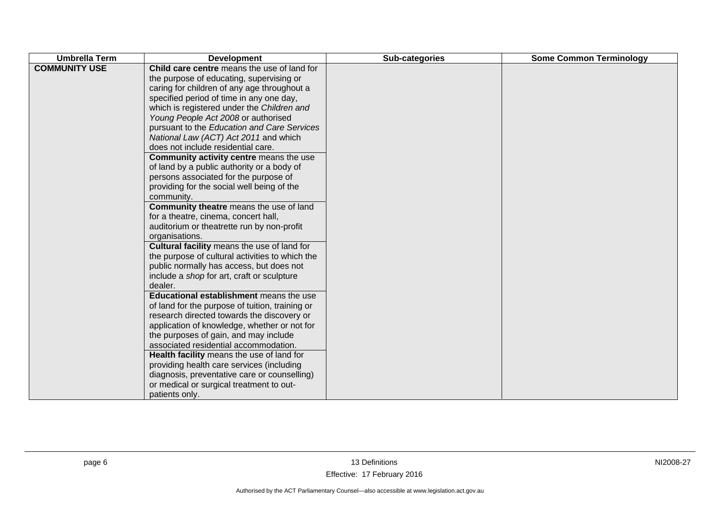| <b>Umbrella Term</b> | <b>Development</b>                                                                                                                                                                                                                                                                                                                                                                                                                                                                                                                                                                                                                                                                                                                                                                                                                                                                                                                                                                                                                                                                                                                                                                                                                                                                                                                                                                                                                | Sub-categories | <b>Some Common Terminology</b> |
|----------------------|-----------------------------------------------------------------------------------------------------------------------------------------------------------------------------------------------------------------------------------------------------------------------------------------------------------------------------------------------------------------------------------------------------------------------------------------------------------------------------------------------------------------------------------------------------------------------------------------------------------------------------------------------------------------------------------------------------------------------------------------------------------------------------------------------------------------------------------------------------------------------------------------------------------------------------------------------------------------------------------------------------------------------------------------------------------------------------------------------------------------------------------------------------------------------------------------------------------------------------------------------------------------------------------------------------------------------------------------------------------------------------------------------------------------------------------|----------------|--------------------------------|
| <b>COMMUNITY USE</b> | Child care centre means the use of land for<br>the purpose of educating, supervising or<br>caring for children of any age throughout a<br>specified period of time in any one day,<br>which is registered under the Children and<br>Young People Act 2008 or authorised<br>pursuant to the Education and Care Services<br>National Law (ACT) Act 2011 and which<br>does not include residential care.<br>Community activity centre means the use<br>of land by a public authority or a body of<br>persons associated for the purpose of<br>providing for the social well being of the<br>community.<br>Community theatre means the use of land<br>for a theatre, cinema, concert hall,<br>auditorium or theatrette run by non-profit<br>organisations.<br>Cultural facility means the use of land for<br>the purpose of cultural activities to which the<br>public normally has access, but does not<br>include a shop for art, craft or sculpture<br>dealer.<br>Educational establishment means the use<br>of land for the purpose of tuition, training or<br>research directed towards the discovery or<br>application of knowledge, whether or not for<br>the purposes of gain, and may include<br>associated residential accommodation.<br>Health facility means the use of land for<br>providing health care services (including<br>diagnosis, preventative care or counselling)<br>or medical or surgical treatment to out- |                |                                |
|                      | patients only.                                                                                                                                                                                                                                                                                                                                                                                                                                                                                                                                                                                                                                                                                                                                                                                                                                                                                                                                                                                                                                                                                                                                                                                                                                                                                                                                                                                                                    |                |                                |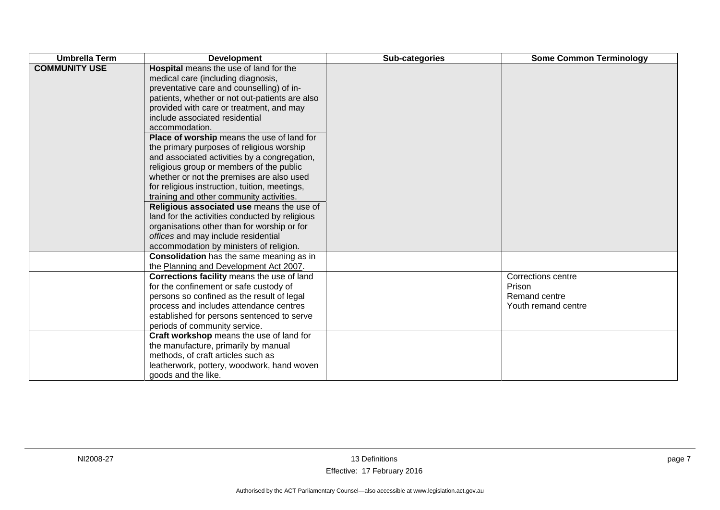| <b>Umbrella Term</b> | <b>Development</b>                                                                                                                                                                                                                                                                                                                                                                                                                                                                                                                                                                                                                                                                                                                                                                                                                           | Sub-categories | <b>Some Common Terminology</b>                                              |
|----------------------|----------------------------------------------------------------------------------------------------------------------------------------------------------------------------------------------------------------------------------------------------------------------------------------------------------------------------------------------------------------------------------------------------------------------------------------------------------------------------------------------------------------------------------------------------------------------------------------------------------------------------------------------------------------------------------------------------------------------------------------------------------------------------------------------------------------------------------------------|----------------|-----------------------------------------------------------------------------|
| <b>COMMUNITY USE</b> | Hospital means the use of land for the<br>medical care (including diagnosis,<br>preventative care and counselling) of in-<br>patients, whether or not out-patients are also<br>provided with care or treatment, and may<br>include associated residential<br>accommodation.<br>Place of worship means the use of land for<br>the primary purposes of religious worship<br>and associated activities by a congregation,<br>religious group or members of the public<br>whether or not the premises are also used<br>for religious instruction, tuition, meetings,<br>training and other community activities.<br>Religious associated use means the use of<br>land for the activities conducted by religious<br>organisations other than for worship or for<br>offices and may include residential<br>accommodation by ministers of religion. |                |                                                                             |
|                      | <b>Consolidation</b> has the same meaning as in<br>the Planning and Development Act 2007.                                                                                                                                                                                                                                                                                                                                                                                                                                                                                                                                                                                                                                                                                                                                                    |                |                                                                             |
|                      | Corrections facility means the use of land<br>for the confinement or safe custody of<br>persons so confined as the result of legal<br>process and includes attendance centres<br>established for persons sentenced to serve<br>periods of community service.                                                                                                                                                                                                                                                                                                                                                                                                                                                                                                                                                                                 |                | <b>Corrections centre</b><br>Prison<br>Remand centre<br>Youth remand centre |
|                      | Craft workshop means the use of land for<br>the manufacture, primarily by manual<br>methods, of craft articles such as<br>leatherwork, pottery, woodwork, hand woven<br>goods and the like.                                                                                                                                                                                                                                                                                                                                                                                                                                                                                                                                                                                                                                                  |                |                                                                             |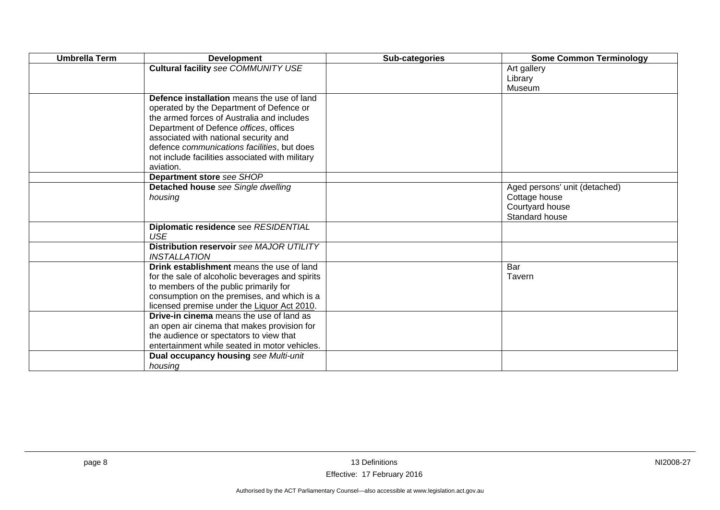| <b>Umbrella Term</b> | <b>Development</b>                              | Sub-categories | <b>Some Common Terminology</b>   |
|----------------------|-------------------------------------------------|----------------|----------------------------------|
|                      | <b>Cultural facility see COMMUNITY USE</b>      |                | Art gallery                      |
|                      |                                                 |                | Library                          |
|                      |                                                 |                | Museum                           |
|                      | Defence installation means the use of land      |                |                                  |
|                      | operated by the Department of Defence or        |                |                                  |
|                      | the armed forces of Australia and includes      |                |                                  |
|                      | Department of Defence offices, offices          |                |                                  |
|                      | associated with national security and           |                |                                  |
|                      | defence communications facilities, but does     |                |                                  |
|                      | not include facilities associated with military |                |                                  |
|                      | aviation.                                       |                |                                  |
|                      | Department store see SHOP                       |                |                                  |
|                      | Detached house see Single dwelling              |                | Aged persons' unit (detached)    |
|                      | housing                                         |                | Cottage house<br>Courtyard house |
|                      |                                                 |                | Standard house                   |
|                      | Diplomatic residence see RESIDENTIAL            |                |                                  |
|                      | <b>USE</b>                                      |                |                                  |
|                      | Distribution reservoir see MAJOR UTILITY        |                |                                  |
|                      | <b>INSTALLATION</b>                             |                |                                  |
|                      | Drink establishment means the use of land       |                | Bar                              |
|                      | for the sale of alcoholic beverages and spirits |                | Tavern                           |
|                      | to members of the public primarily for          |                |                                  |
|                      | consumption on the premises, and which is a     |                |                                  |
|                      | licensed premise under the Liquor Act 2010.     |                |                                  |
|                      | <b>Drive-in cinema</b> means the use of land as |                |                                  |
|                      | an open air cinema that makes provision for     |                |                                  |
|                      | the audience or spectators to view that         |                |                                  |
|                      | entertainment while seated in motor vehicles.   |                |                                  |
|                      | Dual occupancy housing see Multi-unit           |                |                                  |
|                      | housing                                         |                |                                  |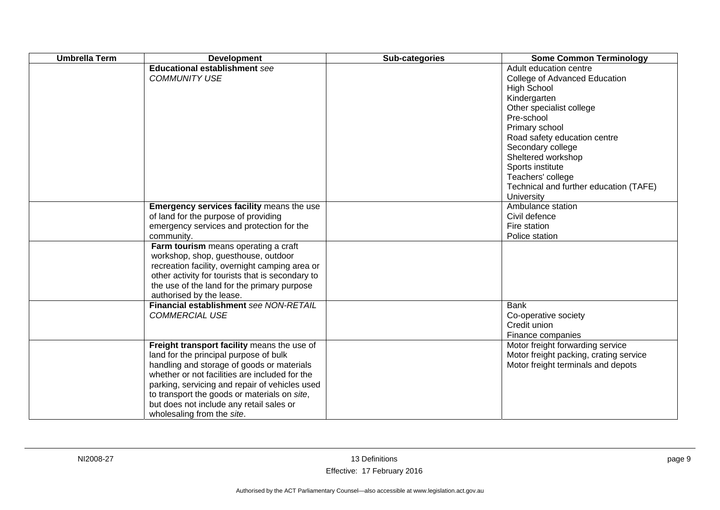| <b>Umbrella Term</b> | <b>Development</b>                                                                                                                                                                                                                                                                                                                                                | Sub-categories | <b>Some Common Terminology</b>                                                                                                                                                                                                                                                                                                        |
|----------------------|-------------------------------------------------------------------------------------------------------------------------------------------------------------------------------------------------------------------------------------------------------------------------------------------------------------------------------------------------------------------|----------------|---------------------------------------------------------------------------------------------------------------------------------------------------------------------------------------------------------------------------------------------------------------------------------------------------------------------------------------|
|                      | <b>Educational establishment see</b><br><b>COMMUNITY USE</b>                                                                                                                                                                                                                                                                                                      |                | Adult education centre<br>College of Advanced Education<br><b>High School</b><br>Kindergarten<br>Other specialist college<br>Pre-school<br>Primary school<br>Road safety education centre<br>Secondary college<br>Sheltered workshop<br>Sports institute<br>Teachers' college<br>Technical and further education (TAFE)<br>University |
|                      | Emergency services facility means the use<br>of land for the purpose of providing<br>emergency services and protection for the<br>community.                                                                                                                                                                                                                      |                | Ambulance station<br>Civil defence<br>Fire station<br>Police station                                                                                                                                                                                                                                                                  |
|                      | Farm tourism means operating a craft<br>workshop, shop, guesthouse, outdoor<br>recreation facility, overnight camping area or<br>other activity for tourists that is secondary to<br>the use of the land for the primary purpose<br>authorised by the lease.                                                                                                      |                |                                                                                                                                                                                                                                                                                                                                       |
|                      | Financial establishment see NON-RETAIL<br><b>COMMERCIAL USE</b>                                                                                                                                                                                                                                                                                                   |                | <b>Bank</b><br>Co-operative society<br>Credit union<br>Finance companies                                                                                                                                                                                                                                                              |
|                      | Freight transport facility means the use of<br>land for the principal purpose of bulk<br>handling and storage of goods or materials<br>whether or not facilities are included for the<br>parking, servicing and repair of vehicles used<br>to transport the goods or materials on site,<br>but does not include any retail sales or<br>wholesaling from the site. |                | Motor freight forwarding service<br>Motor freight packing, crating service<br>Motor freight terminals and depots                                                                                                                                                                                                                      |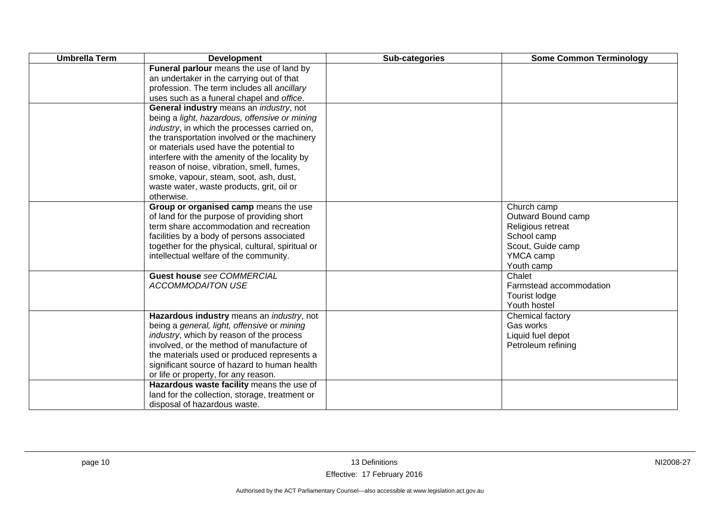| <b>Umbrella Term</b> | <b>Development</b>                                   | Sub-categories | <b>Some Common Terminology</b> |
|----------------------|------------------------------------------------------|----------------|--------------------------------|
|                      | Funeral parlour means the use of land by             |                |                                |
|                      | an undertaker in the carrying out of that            |                |                                |
|                      | profession. The term includes all ancillary          |                |                                |
|                      | uses such as a funeral chapel and office.            |                |                                |
|                      | General industry means an industry, not              |                |                                |
|                      | being a light, hazardous, offensive or mining        |                |                                |
|                      | <i>industry</i> , in which the processes carried on, |                |                                |
|                      | the transportation involved or the machinery         |                |                                |
|                      | or materials used have the potential to              |                |                                |
|                      | interfere with the amenity of the locality by        |                |                                |
|                      | reason of noise, vibration, smell, fumes,            |                |                                |
|                      | smoke, vapour, steam, soot, ash, dust,               |                |                                |
|                      | waste water, waste products, grit, oil or            |                |                                |
|                      | otherwise.                                           |                |                                |
|                      | Group or organised camp means the use                |                | Church camp                    |
|                      | of land for the purpose of providing short           |                | Outward Bound camp             |
|                      | term share accommodation and recreation              |                | Religious retreat              |
|                      | facilities by a body of persons associated           |                | School camp                    |
|                      | together for the physical, cultural, spiritual or    |                | Scout, Guide camp              |
|                      | intellectual welfare of the community.               |                | YMCA camp                      |
|                      |                                                      |                | Youth camp                     |
|                      | <b>Guest house see COMMERCIAL</b>                    |                | Chalet                         |
|                      | <b>ACCOMMODAITON USE</b>                             |                | Farmstead accommodation        |
|                      |                                                      |                | Tourist lodge                  |
|                      |                                                      |                | Youth hostel                   |
|                      | Hazardous industry means an industry, not            |                | Chemical factory               |
|                      | being a general, light, offensive or mining          |                | Gas works                      |
|                      | industry, which by reason of the process             |                | Liquid fuel depot              |
|                      | involved, or the method of manufacture of            |                | Petroleum refining             |
|                      | the materials used or produced represents a          |                |                                |
|                      | significant source of hazard to human health         |                |                                |
|                      | or life or property, for any reason.                 |                |                                |
|                      | Hazardous waste facility means the use of            |                |                                |
|                      | land for the collection, storage, treatment or       |                |                                |
|                      | disposal of hazardous waste.                         |                |                                |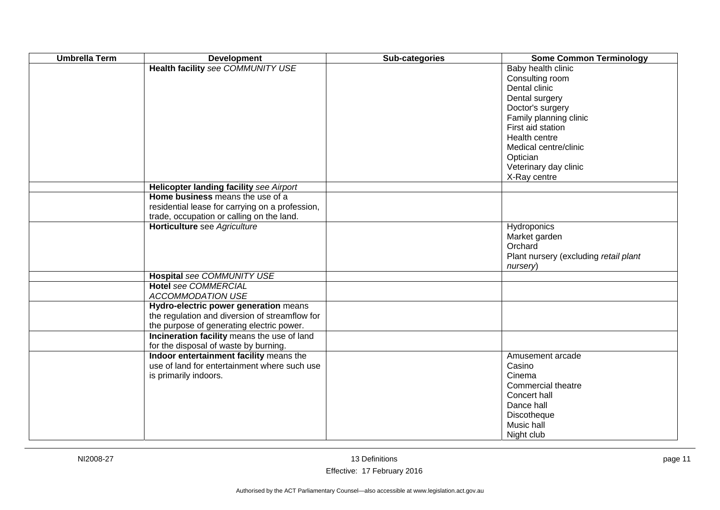| <b>Umbrella Term</b> | <b>Development</b>                                                                   | Sub-categories | <b>Some Common Terminology</b>                                           |
|----------------------|--------------------------------------------------------------------------------------|----------------|--------------------------------------------------------------------------|
|                      | <b>Health facility see COMMUNITY USE</b>                                             |                | Baby health clinic<br>Consulting room<br>Dental clinic<br>Dental surgery |
|                      |                                                                                      |                | Doctor's surgery<br>Family planning clinic                               |
|                      |                                                                                      |                | First aid station<br>Health centre                                       |
|                      |                                                                                      |                | Medical centre/clinic<br>Optician                                        |
|                      |                                                                                      |                | Veterinary day clinic<br>X-Ray centre                                    |
|                      | Helicopter landing facility see Airport                                              |                |                                                                          |
|                      | Home business means the use of a                                                     |                |                                                                          |
|                      | residential lease for carrying on a profession,                                      |                |                                                                          |
|                      | trade, occupation or calling on the land.                                            |                |                                                                          |
|                      | Horticulture see Agriculture                                                         |                | Hydroponics                                                              |
|                      |                                                                                      |                | Market garden                                                            |
|                      |                                                                                      |                | Orchard<br>Plant nursery (excluding retail plant                         |
|                      |                                                                                      |                | nursery)                                                                 |
|                      | Hospital see COMMUNITY USE                                                           |                |                                                                          |
|                      | <b>Hotel see COMMERCIAL</b>                                                          |                |                                                                          |
|                      | ACCOMMODATION USE                                                                    |                |                                                                          |
|                      | Hydro-electric power generation means                                                |                |                                                                          |
|                      | the regulation and diversion of streamflow for                                       |                |                                                                          |
|                      | the purpose of generating electric power.                                            |                |                                                                          |
|                      | Incineration facility means the use of land<br>for the disposal of waste by burning. |                |                                                                          |
|                      | Indoor entertainment facility means the                                              |                | Amusement arcade                                                         |
|                      | use of land for entertainment where such use                                         |                | Casino                                                                   |
|                      | is primarily indoors.                                                                |                | Cinema                                                                   |
|                      |                                                                                      |                | Commercial theatre                                                       |
|                      |                                                                                      |                | Concert hall                                                             |
|                      |                                                                                      |                | Dance hall                                                               |
|                      |                                                                                      |                | Discotheque                                                              |
|                      |                                                                                      |                | Music hall                                                               |
|                      |                                                                                      |                | Night club                                                               |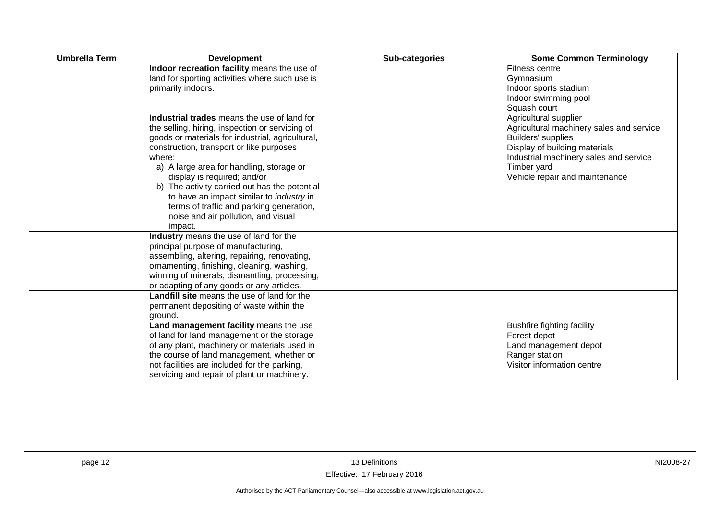| <b>Umbrella Term</b> | <b>Development</b>                                                                                                                                                                                                                                                                                                                                                                                                                                                                    | Sub-categories | <b>Some Common Terminology</b>                                                                                                                                                                                      |
|----------------------|---------------------------------------------------------------------------------------------------------------------------------------------------------------------------------------------------------------------------------------------------------------------------------------------------------------------------------------------------------------------------------------------------------------------------------------------------------------------------------------|----------------|---------------------------------------------------------------------------------------------------------------------------------------------------------------------------------------------------------------------|
|                      | Indoor recreation facility means the use of<br>land for sporting activities where such use is<br>primarily indoors.                                                                                                                                                                                                                                                                                                                                                                   |                | Fitness centre<br>Gymnasium<br>Indoor sports stadium<br>Indoor swimming pool<br>Squash court                                                                                                                        |
|                      | Industrial trades means the use of land for<br>the selling, hiring, inspection or servicing of<br>goods or materials for industrial, agricultural,<br>construction, transport or like purposes<br>where:<br>a) A large area for handling, storage or<br>display is required; and/or<br>b) The activity carried out has the potential<br>to have an impact similar to <i>industry</i> in<br>terms of traffic and parking generation,<br>noise and air pollution, and visual<br>impact. |                | Agricultural supplier<br>Agricultural machinery sales and service<br>Builders' supplies<br>Display of building materials<br>Industrial machinery sales and service<br>Timber yard<br>Vehicle repair and maintenance |
|                      | Industry means the use of land for the<br>principal purpose of manufacturing,<br>assembling, altering, repairing, renovating,<br>ornamenting, finishing, cleaning, washing,<br>winning of minerals, dismantling, processing,<br>or adapting of any goods or any articles.                                                                                                                                                                                                             |                |                                                                                                                                                                                                                     |
|                      | Landfill site means the use of land for the<br>permanent depositing of waste within the<br>ground.                                                                                                                                                                                                                                                                                                                                                                                    |                |                                                                                                                                                                                                                     |
|                      | Land management facility means the use<br>of land for land management or the storage<br>of any plant, machinery or materials used in<br>the course of land management, whether or<br>not facilities are included for the parking,<br>servicing and repair of plant or machinery.                                                                                                                                                                                                      |                | <b>Bushfire fighting facility</b><br>Forest depot<br>Land management depot<br>Ranger station<br>Visitor information centre                                                                                          |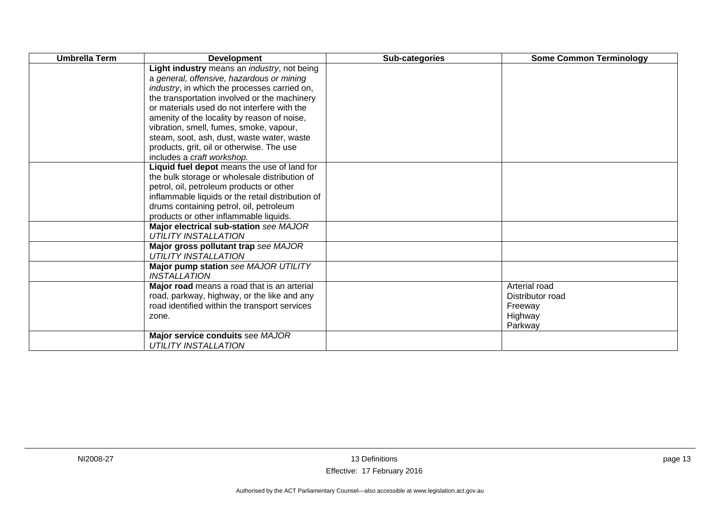| <b>Umbrella Term</b> | <b>Development</b>                                                    | Sub-categories | <b>Some Common Terminology</b> |
|----------------------|-----------------------------------------------------------------------|----------------|--------------------------------|
|                      | Light industry means an <i>industry</i> , not being                   |                |                                |
|                      | a general, offensive, hazardous or mining                             |                |                                |
|                      | <i>industry</i> , in which the processes carried on,                  |                |                                |
|                      | the transportation involved or the machinery                          |                |                                |
|                      | or materials used do not interfere with the                           |                |                                |
|                      | amenity of the locality by reason of noise,                           |                |                                |
|                      | vibration, smell, fumes, smoke, vapour,                               |                |                                |
|                      | steam, soot, ash, dust, waste water, waste                            |                |                                |
|                      | products, grit, oil or otherwise. The use                             |                |                                |
|                      | includes a craft workshop.                                            |                |                                |
|                      | Liquid fuel depot means the use of land for                           |                |                                |
|                      | the bulk storage or wholesale distribution of                         |                |                                |
|                      | petrol, oil, petroleum products or other                              |                |                                |
|                      | inflammable liquids or the retail distribution of                     |                |                                |
|                      | drums containing petrol, oil, petroleum                               |                |                                |
|                      | products or other inflammable liquids.                                |                |                                |
|                      | Major electrical sub-station see MAJOR<br><b>UTILITY INSTALLATION</b> |                |                                |
|                      | Major gross pollutant trap see MAJOR                                  |                |                                |
|                      | <b>UTILITY INSTALLATION</b>                                           |                |                                |
|                      | Major pump station see MAJOR UTILITY                                  |                |                                |
|                      | <b>INSTALLATION</b>                                                   |                |                                |
|                      | Major road means a road that is an arterial                           |                | Arterial road                  |
|                      | road, parkway, highway, or the like and any                           |                | Distributor road               |
|                      | road identified within the transport services                         |                | Freeway                        |
|                      | zone.                                                                 |                | Highway                        |
|                      |                                                                       |                | Parkway                        |
|                      | Major service conduits see MAJOR                                      |                |                                |
|                      | <b>UTILITY INSTALLATION</b>                                           |                |                                |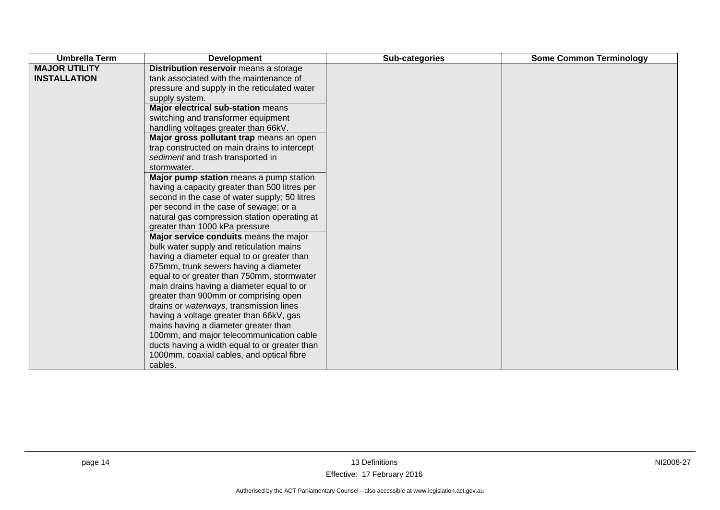| <b>MAJOR UTILITY</b><br>Distribution reservoir means a storage<br>tank associated with the maintenance of<br><b>INSTALLATION</b><br>pressure and supply in the reticulated water<br>supply system.<br>Major electrical sub-station means<br>switching and transformer equipment<br>handling voltages greater than 66kV.<br>Major gross pollutant trap means an open<br>trap constructed on main drains to intercept<br>sediment and trash transported in<br>stormwater.<br>Major pump station means a pump station<br>having a capacity greater than 500 litres per<br>second in the case of water supply; 50 litres<br>per second in the case of sewage; or a<br>natural gas compression station operating at<br>greater than 1000 kPa pressure<br>Major service conduits means the major<br>bulk water supply and reticulation mains<br>having a diameter equal to or greater than<br>675mm, trunk sewers having a diameter<br>equal to or greater than 750mm, stormwater<br>main drains having a diameter equal to or<br>greater than 900mm or comprising open<br>drains or waterways, transmission lines | <b>Umbrella Term</b> | <b>Development</b>                                   | Sub-categories | <b>Some Common Terminology</b> |
|--------------------------------------------------------------------------------------------------------------------------------------------------------------------------------------------------------------------------------------------------------------------------------------------------------------------------------------------------------------------------------------------------------------------------------------------------------------------------------------------------------------------------------------------------------------------------------------------------------------------------------------------------------------------------------------------------------------------------------------------------------------------------------------------------------------------------------------------------------------------------------------------------------------------------------------------------------------------------------------------------------------------------------------------------------------------------------------------------------------|----------------------|------------------------------------------------------|----------------|--------------------------------|
| having a voltage greater than 66kV, gas<br>mains having a diameter greater than<br>100mm, and major telecommunication cable<br>ducts having a width equal to or greater than                                                                                                                                                                                                                                                                                                                                                                                                                                                                                                                                                                                                                                                                                                                                                                                                                                                                                                                                 |                      |                                                      |                |                                |
|                                                                                                                                                                                                                                                                                                                                                                                                                                                                                                                                                                                                                                                                                                                                                                                                                                                                                                                                                                                                                                                                                                              |                      | 1000mm, coaxial cables, and optical fibre<br>cables. |                |                                |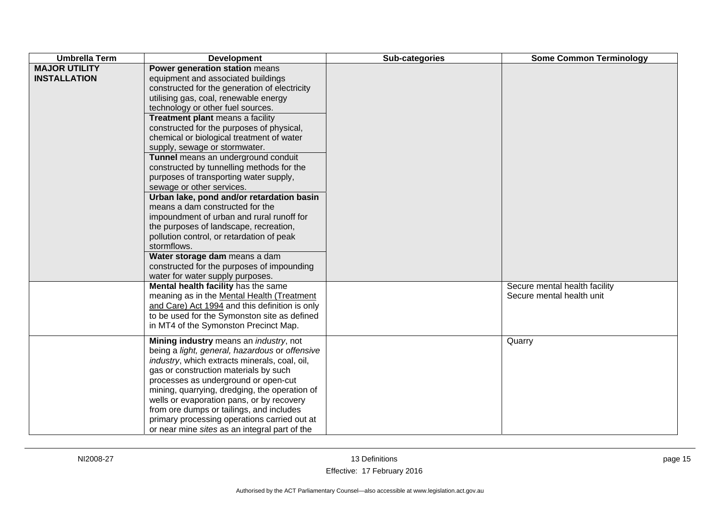| <b>Umbrella Term</b>                        | <b>Development</b>                                                                                                                                                                                                                                                                                                                                                                                                                                                                                                                                                                                                                                                                                                                                                                                                                                                                  | Sub-categories | <b>Some Common Terminology</b>                                       |
|---------------------------------------------|-------------------------------------------------------------------------------------------------------------------------------------------------------------------------------------------------------------------------------------------------------------------------------------------------------------------------------------------------------------------------------------------------------------------------------------------------------------------------------------------------------------------------------------------------------------------------------------------------------------------------------------------------------------------------------------------------------------------------------------------------------------------------------------------------------------------------------------------------------------------------------------|----------------|----------------------------------------------------------------------|
| <b>MAJOR UTILITY</b><br><b>INSTALLATION</b> | Power generation station means<br>equipment and associated buildings<br>constructed for the generation of electricity<br>utilising gas, coal, renewable energy<br>technology or other fuel sources.<br>Treatment plant means a facility<br>constructed for the purposes of physical,<br>chemical or biological treatment of water<br>supply, sewage or stormwater.<br>Tunnel means an underground conduit<br>constructed by tunnelling methods for the<br>purposes of transporting water supply,<br>sewage or other services.<br>Urban lake, pond and/or retardation basin<br>means a dam constructed for the<br>impoundment of urban and rural runoff for<br>the purposes of landscape, recreation,<br>pollution control, or retardation of peak<br>stormflows.<br>Water storage dam means a dam<br>constructed for the purposes of impounding<br>water for water supply purposes. |                |                                                                      |
|                                             | Mental health facility has the same<br>meaning as in the Mental Health (Treatment<br>and Care) Act 1994 and this definition is only<br>to be used for the Symonston site as defined<br>in MT4 of the Symonston Precinct Map.<br>Mining industry means an <i>industry</i> , not                                                                                                                                                                                                                                                                                                                                                                                                                                                                                                                                                                                                      |                | Secure mental health facility<br>Secure mental health unit<br>Quarry |
|                                             | being a light, general, hazardous or offensive<br>industry, which extracts minerals, coal, oil,<br>gas or construction materials by such<br>processes as underground or open-cut<br>mining, quarrying, dredging, the operation of<br>wells or evaporation pans, or by recovery<br>from ore dumps or tailings, and includes<br>primary processing operations carried out at<br>or near mine sites as an integral part of the                                                                                                                                                                                                                                                                                                                                                                                                                                                         |                |                                                                      |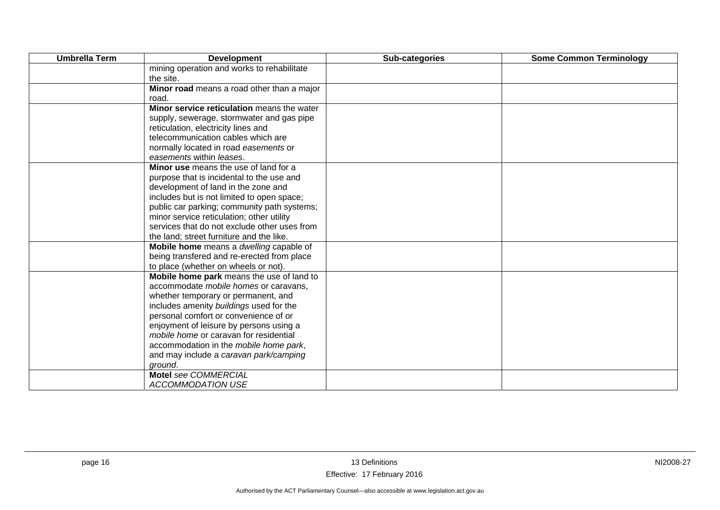| <b>Umbrella Term</b> | <b>Development</b>                           | Sub-categories | <b>Some Common Terminology</b> |
|----------------------|----------------------------------------------|----------------|--------------------------------|
|                      | mining operation and works to rehabilitate   |                |                                |
|                      | the site.                                    |                |                                |
|                      | Minor road means a road other than a major   |                |                                |
|                      | road.                                        |                |                                |
|                      | Minor service reticulation means the water   |                |                                |
|                      | supply, sewerage, stormwater and gas pipe    |                |                                |
|                      | reticulation, electricity lines and          |                |                                |
|                      | telecommunication cables which are           |                |                                |
|                      | normally located in road easements or        |                |                                |
|                      | easements within leases.                     |                |                                |
|                      | Minor use means the use of land for a        |                |                                |
|                      | purpose that is incidental to the use and    |                |                                |
|                      | development of land in the zone and          |                |                                |
|                      | includes but is not limited to open space;   |                |                                |
|                      | public car parking; community path systems;  |                |                                |
|                      | minor service reticulation; other utility    |                |                                |
|                      | services that do not exclude other uses from |                |                                |
|                      | the land; street furniture and the like.     |                |                                |
|                      | Mobile home means a dwelling capable of      |                |                                |
|                      | being transfered and re-erected from place   |                |                                |
|                      | to place (whether on wheels or not).         |                |                                |
|                      | Mobile home park means the use of land to    |                |                                |
|                      | accommodate mobile homes or caravans,        |                |                                |
|                      | whether temporary or permanent, and          |                |                                |
|                      | includes amenity buildings used for the      |                |                                |
|                      | personal comfort or convenience of or        |                |                                |
|                      | enjoyment of leisure by persons using a      |                |                                |
|                      | mobile home or caravan for residential       |                |                                |
|                      | accommodation in the mobile home park,       |                |                                |
|                      | and may include a caravan park/camping       |                |                                |
|                      | ground.                                      |                |                                |
|                      | Motel see COMMERCIAL                         |                |                                |
|                      | <b>ACCOMMODATION USE</b>                     |                |                                |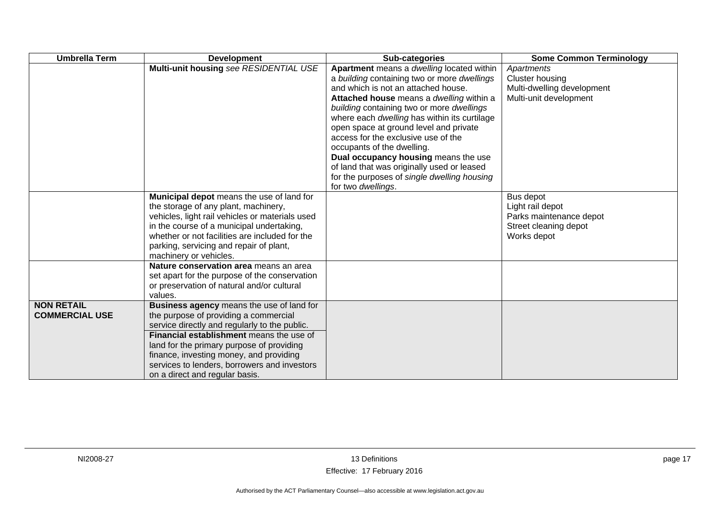| <b>Umbrella Term</b>                       | <b>Development</b>                                                                                                                                                                                                                                                                                                                                        | Sub-categories                                                                                                                                                                                                                                                                                                                                                                                                                                                                                                                                     | <b>Some Common Terminology</b>                                                                   |
|--------------------------------------------|-----------------------------------------------------------------------------------------------------------------------------------------------------------------------------------------------------------------------------------------------------------------------------------------------------------------------------------------------------------|----------------------------------------------------------------------------------------------------------------------------------------------------------------------------------------------------------------------------------------------------------------------------------------------------------------------------------------------------------------------------------------------------------------------------------------------------------------------------------------------------------------------------------------------------|--------------------------------------------------------------------------------------------------|
|                                            | Multi-unit housing see RESIDENTIAL USE                                                                                                                                                                                                                                                                                                                    | Apartment means a dwelling located within<br>a building containing two or more dwellings<br>and which is not an attached house.<br>Attached house means a dwelling within a<br>building containing two or more dwellings<br>where each dwelling has within its curtilage<br>open space at ground level and private<br>access for the exclusive use of the<br>occupants of the dwelling.<br>Dual occupancy housing means the use<br>of land that was originally used or leased<br>for the purposes of single dwelling housing<br>for two dwellings. | Apartments<br><b>Cluster housing</b><br>Multi-dwelling development<br>Multi-unit development     |
|                                            | Municipal depot means the use of land for<br>the storage of any plant, machinery,<br>vehicles, light rail vehicles or materials used<br>in the course of a municipal undertaking,<br>whether or not facilities are included for the<br>parking, servicing and repair of plant,<br>machinery or vehicles.                                                  |                                                                                                                                                                                                                                                                                                                                                                                                                                                                                                                                                    | Bus depot<br>Light rail depot<br>Parks maintenance depot<br>Street cleaning depot<br>Works depot |
|                                            | Nature conservation area means an area<br>set apart for the purpose of the conservation<br>or preservation of natural and/or cultural<br>values.                                                                                                                                                                                                          |                                                                                                                                                                                                                                                                                                                                                                                                                                                                                                                                                    |                                                                                                  |
| <b>NON RETAIL</b><br><b>COMMERCIAL USE</b> | Business agency means the use of land for<br>the purpose of providing a commercial<br>service directly and regularly to the public.<br>Financial establishment means the use of<br>land for the primary purpose of providing<br>finance, investing money, and providing<br>services to lenders, borrowers and investors<br>on a direct and regular basis. |                                                                                                                                                                                                                                                                                                                                                                                                                                                                                                                                                    |                                                                                                  |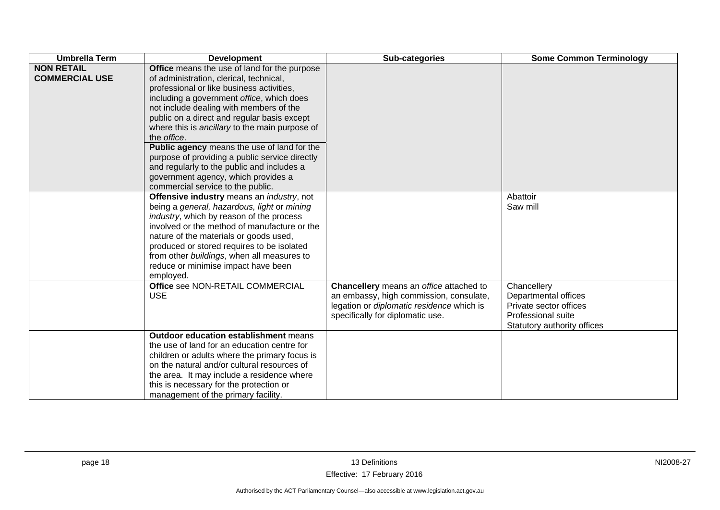| <b>Umbrella Term</b>                       | <b>Development</b>                                                                                                                                                                                                                                                                                                                                                                                                                                                                                                                                                      | Sub-categories                                                                                                                                                      | <b>Some Common Terminology</b>                                                                                     |
|--------------------------------------------|-------------------------------------------------------------------------------------------------------------------------------------------------------------------------------------------------------------------------------------------------------------------------------------------------------------------------------------------------------------------------------------------------------------------------------------------------------------------------------------------------------------------------------------------------------------------------|---------------------------------------------------------------------------------------------------------------------------------------------------------------------|--------------------------------------------------------------------------------------------------------------------|
| <b>NON RETAIL</b><br><b>COMMERCIAL USE</b> | Office means the use of land for the purpose<br>of administration, clerical, technical,<br>professional or like business activities,<br>including a government office, which does<br>not include dealing with members of the<br>public on a direct and regular basis except<br>where this is ancillary to the main purpose of<br>the office.<br>Public agency means the use of land for the<br>purpose of providing a public service directly<br>and regularly to the public and includes a<br>government agency, which provides a<br>commercial service to the public. |                                                                                                                                                                     |                                                                                                                    |
|                                            | Offensive industry means an industry, not<br>being a general, hazardous, light or mining<br>industry, which by reason of the process<br>involved or the method of manufacture or the<br>nature of the materials or goods used,<br>produced or stored requires to be isolated<br>from other buildings, when all measures to<br>reduce or minimise impact have been<br>employed.                                                                                                                                                                                          |                                                                                                                                                                     | Abattoir<br>Saw mill                                                                                               |
|                                            | Office see NON-RETAIL COMMERCIAL<br><b>USE</b>                                                                                                                                                                                                                                                                                                                                                                                                                                                                                                                          | Chancellery means an office attached to<br>an embassy, high commission, consulate,<br>legation or diplomatic residence which is<br>specifically for diplomatic use. | Chancellery<br>Departmental offices<br>Private sector offices<br>Professional suite<br>Statutory authority offices |
|                                            | <b>Outdoor education establishment means</b><br>the use of land for an education centre for<br>children or adults where the primary focus is<br>on the natural and/or cultural resources of<br>the area. It may include a residence where<br>this is necessary for the protection or<br>management of the primary facility.                                                                                                                                                                                                                                             |                                                                                                                                                                     |                                                                                                                    |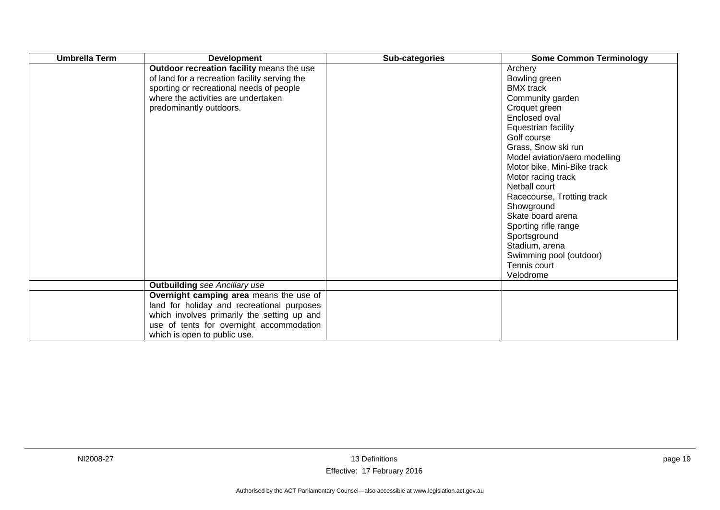| <b>Umbrella Term</b> | <b>Development</b>                                                                                                                                                                                               | Sub-categories | <b>Some Common Terminology</b>                                                                                                                                                                                                                                                                                                                                                                                                                            |
|----------------------|------------------------------------------------------------------------------------------------------------------------------------------------------------------------------------------------------------------|----------------|-----------------------------------------------------------------------------------------------------------------------------------------------------------------------------------------------------------------------------------------------------------------------------------------------------------------------------------------------------------------------------------------------------------------------------------------------------------|
|                      | Outdoor recreation facility means the use<br>of land for a recreation facility serving the<br>sporting or recreational needs of people<br>where the activities are undertaken<br>predominantly outdoors.         |                | Archery<br>Bowling green<br><b>BMX</b> track<br>Community garden<br>Croquet green<br>Enclosed oval<br>Equestrian facility<br>Golf course<br>Grass, Snow ski run<br>Model aviation/aero modelling<br>Motor bike, Mini-Bike track<br>Motor racing track<br>Netball court<br>Racecourse, Trotting track<br>Showground<br>Skate board arena<br>Sporting rifle range<br>Sportsground<br>Stadium, arena<br>Swimming pool (outdoor)<br>Tennis court<br>Velodrome |
|                      | <b>Outbuilding</b> see Ancillary use                                                                                                                                                                             |                |                                                                                                                                                                                                                                                                                                                                                                                                                                                           |
|                      | Overnight camping area means the use of<br>land for holiday and recreational purposes<br>which involves primarily the setting up and<br>use of tents for overnight accommodation<br>which is open to public use. |                |                                                                                                                                                                                                                                                                                                                                                                                                                                                           |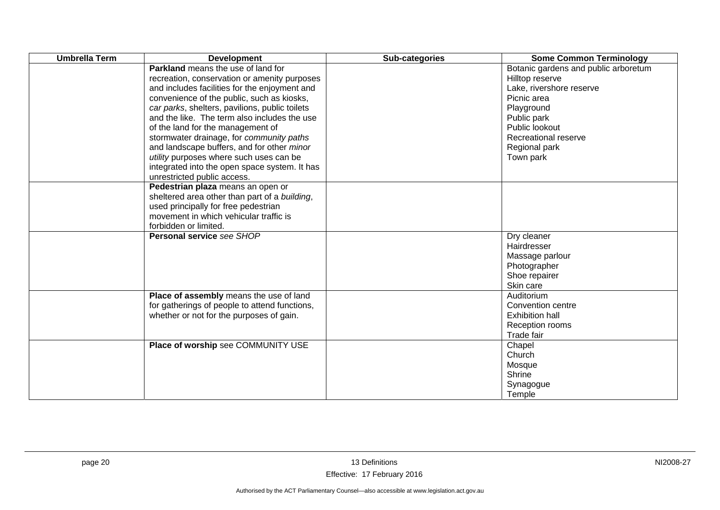| <b>Umbrella Term</b> | <b>Development</b>                                                                                                                                                                                                                                                                                                                                                                                                                                                                                                                                   | Sub-categories | <b>Some Common Terminology</b>                                                                                                                                                                          |
|----------------------|------------------------------------------------------------------------------------------------------------------------------------------------------------------------------------------------------------------------------------------------------------------------------------------------------------------------------------------------------------------------------------------------------------------------------------------------------------------------------------------------------------------------------------------------------|----------------|---------------------------------------------------------------------------------------------------------------------------------------------------------------------------------------------------------|
|                      | <b>Parkland</b> means the use of land for<br>recreation, conservation or amenity purposes<br>and includes facilities for the enjoyment and<br>convenience of the public, such as kiosks,<br>car parks, shelters, pavilions, public toilets<br>and the like. The term also includes the use<br>of the land for the management of<br>stormwater drainage, for community paths<br>and landscape buffers, and for other minor<br>utility purposes where such uses can be<br>integrated into the open space system. It has<br>unrestricted public access. |                | Botanic gardens and public arboretum<br>Hilltop reserve<br>Lake, rivershore reserve<br>Picnic area<br>Playground<br>Public park<br>Public lookout<br>Recreational reserve<br>Regional park<br>Town park |
|                      | Pedestrian plaza means an open or<br>sheltered area other than part of a building,<br>used principally for free pedestrian<br>movement in which vehicular traffic is<br>forbidden or limited.                                                                                                                                                                                                                                                                                                                                                        |                |                                                                                                                                                                                                         |
|                      | Personal service see SHOP                                                                                                                                                                                                                                                                                                                                                                                                                                                                                                                            |                | Dry cleaner<br>Hairdresser<br>Massage parlour<br>Photographer<br>Shoe repairer<br>Skin care                                                                                                             |
|                      | Place of assembly means the use of land<br>for gatherings of people to attend functions,<br>whether or not for the purposes of gain.                                                                                                                                                                                                                                                                                                                                                                                                                 |                | Auditorium<br>Convention centre<br><b>Exhibition hall</b><br>Reception rooms<br>Trade fair                                                                                                              |
|                      | Place of worship see COMMUNITY USE                                                                                                                                                                                                                                                                                                                                                                                                                                                                                                                   |                | Chapel<br>Church<br>Mosque<br>Shrine<br>Synagogue<br>Temple                                                                                                                                             |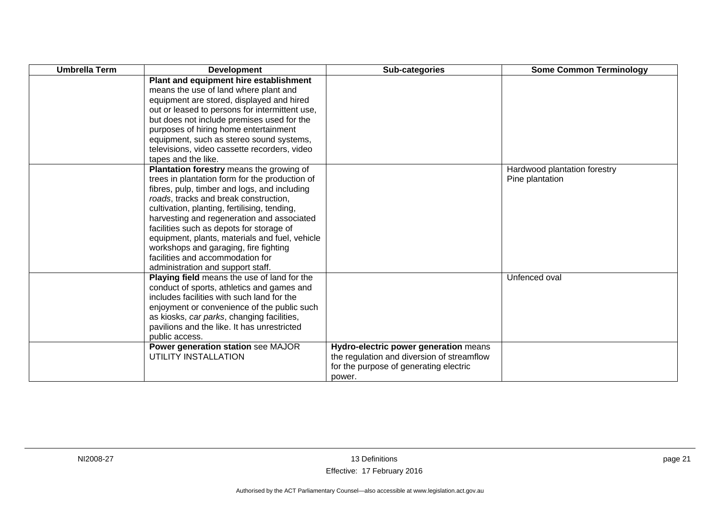| <b>Umbrella Term</b> | <b>Development</b>                             | Sub-categories                             | <b>Some Common Terminology</b> |
|----------------------|------------------------------------------------|--------------------------------------------|--------------------------------|
|                      | Plant and equipment hire establishment         |                                            |                                |
|                      | means the use of land where plant and          |                                            |                                |
|                      | equipment are stored, displayed and hired      |                                            |                                |
|                      | out or leased to persons for intermittent use, |                                            |                                |
|                      | but does not include premises used for the     |                                            |                                |
|                      | purposes of hiring home entertainment          |                                            |                                |
|                      | equipment, such as stereo sound systems,       |                                            |                                |
|                      | televisions, video cassette recorders, video   |                                            |                                |
|                      | tapes and the like.                            |                                            |                                |
|                      | Plantation forestry means the growing of       |                                            | Hardwood plantation forestry   |
|                      | trees in plantation form for the production of |                                            | Pine plantation                |
|                      | fibres, pulp, timber and logs, and including   |                                            |                                |
|                      | roads, tracks and break construction,          |                                            |                                |
|                      | cultivation, planting, fertilising, tending,   |                                            |                                |
|                      | harvesting and regeneration and associated     |                                            |                                |
|                      | facilities such as depots for storage of       |                                            |                                |
|                      | equipment, plants, materials and fuel, vehicle |                                            |                                |
|                      | workshops and garaging, fire fighting          |                                            |                                |
|                      | facilities and accommodation for               |                                            |                                |
|                      | administration and support staff.              |                                            |                                |
|                      | Playing field means the use of land for the    |                                            | Unfenced oval                  |
|                      | conduct of sports, athletics and games and     |                                            |                                |
|                      | includes facilities with such land for the     |                                            |                                |
|                      | enjoyment or convenience of the public such    |                                            |                                |
|                      | as kiosks, car parks, changing facilities,     |                                            |                                |
|                      | pavilions and the like. It has unrestricted    |                                            |                                |
|                      | public access.                                 |                                            |                                |
|                      | Power generation station see MAJOR             | Hydro-electric power generation means      |                                |
|                      | UTILITY INSTALLATION                           | the regulation and diversion of streamflow |                                |
|                      |                                                | for the purpose of generating electric     |                                |
|                      |                                                | power.                                     |                                |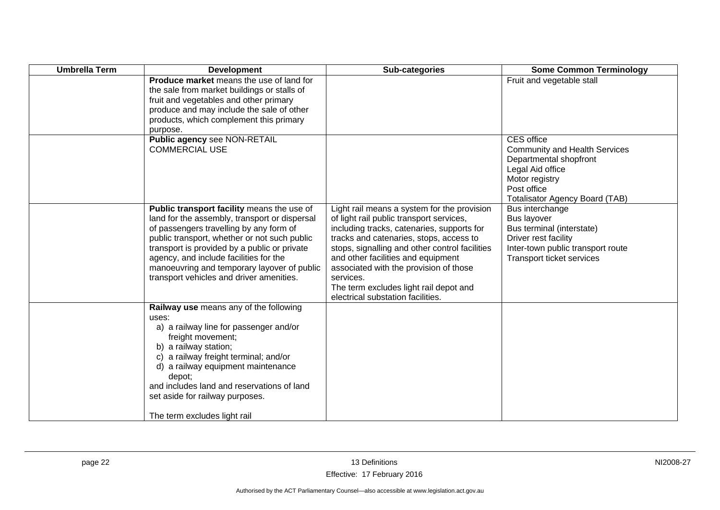| <b>Umbrella Term</b> | <b>Development</b>                                                                                                                                                                                                                                                                                                                                                          | Sub-categories                                                                                                                                                                                                                                                                                                                                                                                                 | <b>Some Common Terminology</b>                                                                                                                                                    |
|----------------------|-----------------------------------------------------------------------------------------------------------------------------------------------------------------------------------------------------------------------------------------------------------------------------------------------------------------------------------------------------------------------------|----------------------------------------------------------------------------------------------------------------------------------------------------------------------------------------------------------------------------------------------------------------------------------------------------------------------------------------------------------------------------------------------------------------|-----------------------------------------------------------------------------------------------------------------------------------------------------------------------------------|
|                      | Produce market means the use of land for<br>the sale from market buildings or stalls of<br>fruit and vegetables and other primary<br>produce and may include the sale of other<br>products, which complement this primary<br>purpose.                                                                                                                                       |                                                                                                                                                                                                                                                                                                                                                                                                                | Fruit and vegetable stall                                                                                                                                                         |
|                      | Public agency see NON-RETAIL<br><b>COMMERCIAL USE</b>                                                                                                                                                                                                                                                                                                                       |                                                                                                                                                                                                                                                                                                                                                                                                                | <b>CES</b> office<br><b>Community and Health Services</b><br>Departmental shopfront<br>Legal Aid office<br>Motor registry<br>Post office<br><b>Totalisator Agency Board (TAB)</b> |
|                      | Public transport facility means the use of<br>land for the assembly, transport or dispersal<br>of passengers travelling by any form of<br>public transport, whether or not such public<br>transport is provided by a public or private<br>agency, and include facilities for the<br>manoeuvring and temporary layover of public<br>transport vehicles and driver amenities. | Light rail means a system for the provision<br>of light rail public transport services,<br>including tracks, catenaries, supports for<br>tracks and catenaries, stops, access to<br>stops, signalling and other control facilities<br>and other facilities and equipment<br>associated with the provision of those<br>services.<br>The term excludes light rail depot and<br>electrical substation facilities. | Bus interchange<br>Bus layover<br>Bus terminal (interstate)<br>Driver rest facility<br>Inter-town public transport route<br>Transport ticket services                             |
|                      | Railway use means any of the following<br>uses:<br>a) a railway line for passenger and/or<br>freight movement;<br>b) a railway station;<br>c) a railway freight terminal; and/or<br>d) a railway equipment maintenance<br>depot;<br>and includes land and reservations of land<br>set aside for railway purposes.<br>The term excludes light rail                           |                                                                                                                                                                                                                                                                                                                                                                                                                |                                                                                                                                                                                   |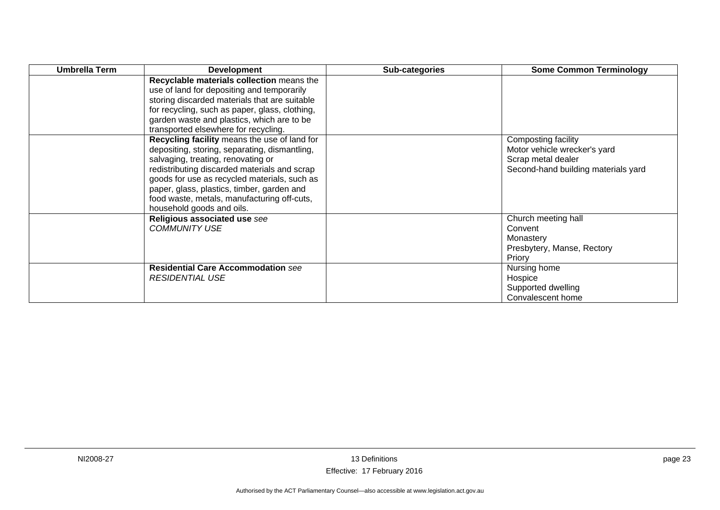| Umbrella Term | <b>Development</b>                                                                                                                                                                                                                                                                                                                                            | Sub-categories | <b>Some Common Terminology</b>                                                                                   |
|---------------|---------------------------------------------------------------------------------------------------------------------------------------------------------------------------------------------------------------------------------------------------------------------------------------------------------------------------------------------------------------|----------------|------------------------------------------------------------------------------------------------------------------|
|               | Recyclable materials collection means the<br>use of land for depositing and temporarily<br>storing discarded materials that are suitable<br>for recycling, such as paper, glass, clothing,<br>garden waste and plastics, which are to be<br>transported elsewhere for recycling.                                                                              |                |                                                                                                                  |
|               | Recycling facility means the use of land for<br>depositing, storing, separating, dismantling,<br>salvaging, treating, renovating or<br>redistributing discarded materials and scrap<br>goods for use as recycled materials, such as<br>paper, glass, plastics, timber, garden and<br>food waste, metals, manufacturing off-cuts,<br>household goods and oils. |                | Composting facility<br>Motor vehicle wrecker's yard<br>Scrap metal dealer<br>Second-hand building materials yard |
|               | Religious associated use see<br><b>COMMUNITY USE</b>                                                                                                                                                                                                                                                                                                          |                | Church meeting hall<br>Convent<br>Monastery<br>Presbytery, Manse, Rectory<br>Priory                              |
|               | <b>Residential Care Accommodation see</b><br><b>RESIDENTIAL USE</b>                                                                                                                                                                                                                                                                                           |                | Nursing home<br>Hospice<br>Supported dwelling<br>Convalescent home                                               |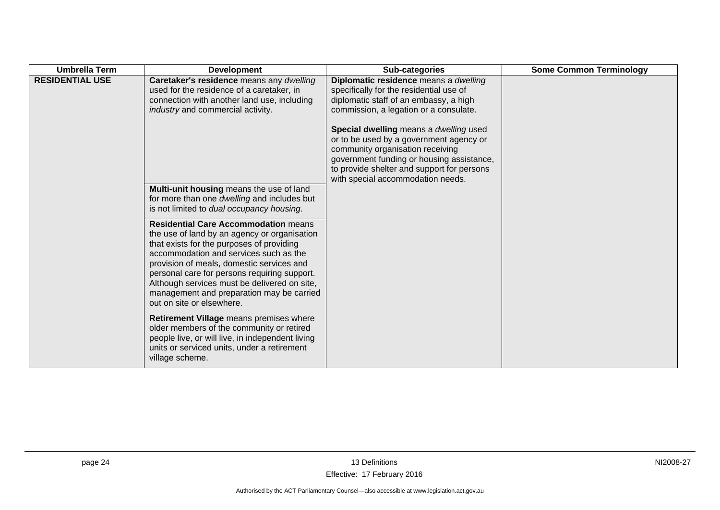| <b>Umbrella Term</b>   | <b>Development</b>                                                                                                                                                                                                                                                                                                                                                                                        | Sub-categories                                                                                                                                                                                                                                        | <b>Some Common Terminology</b> |
|------------------------|-----------------------------------------------------------------------------------------------------------------------------------------------------------------------------------------------------------------------------------------------------------------------------------------------------------------------------------------------------------------------------------------------------------|-------------------------------------------------------------------------------------------------------------------------------------------------------------------------------------------------------------------------------------------------------|--------------------------------|
| <b>RESIDENTIAL USE</b> | Caretaker's residence means any dwelling<br>used for the residence of a caretaker, in<br>connection with another land use, including<br>industry and commercial activity.                                                                                                                                                                                                                                 | Diplomatic residence means a dwelling<br>specifically for the residential use of<br>diplomatic staff of an embassy, a high<br>commission, a legation or a consulate.                                                                                  |                                |
|                        |                                                                                                                                                                                                                                                                                                                                                                                                           | Special dwelling means a dwelling used<br>or to be used by a government agency or<br>community organisation receiving<br>government funding or housing assistance,<br>to provide shelter and support for persons<br>with special accommodation needs. |                                |
|                        | Multi-unit housing means the use of land<br>for more than one dwelling and includes but<br>is not limited to dual occupancy housing.                                                                                                                                                                                                                                                                      |                                                                                                                                                                                                                                                       |                                |
|                        | <b>Residential Care Accommodation means</b><br>the use of land by an agency or organisation<br>that exists for the purposes of providing<br>accommodation and services such as the<br>provision of meals, domestic services and<br>personal care for persons requiring support.<br>Although services must be delivered on site,<br>management and preparation may be carried<br>out on site or elsewhere. |                                                                                                                                                                                                                                                       |                                |
|                        | Retirement Village means premises where<br>older members of the community or retired<br>people live, or will live, in independent living<br>units or serviced units, under a retirement<br>village scheme.                                                                                                                                                                                                |                                                                                                                                                                                                                                                       |                                |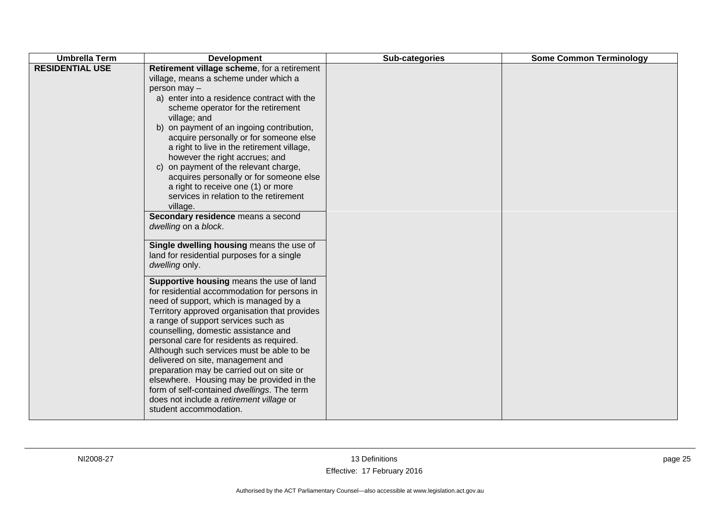| Retirement village scheme, for a retirement<br>village, means a scheme under which a<br>person may -<br>a) enter into a residence contract with the<br>scheme operator for the retirement                                                                                                                                                                                                                                                                                                                                                                                                                                                                                                                                                                                                                                                                                                                                                                                                                                                                                                                                                       | <b>Umbrella Term</b>   | <b>Development</b> | Sub-categories | <b>Some Common Terminology</b> |
|-------------------------------------------------------------------------------------------------------------------------------------------------------------------------------------------------------------------------------------------------------------------------------------------------------------------------------------------------------------------------------------------------------------------------------------------------------------------------------------------------------------------------------------------------------------------------------------------------------------------------------------------------------------------------------------------------------------------------------------------------------------------------------------------------------------------------------------------------------------------------------------------------------------------------------------------------------------------------------------------------------------------------------------------------------------------------------------------------------------------------------------------------|------------------------|--------------------|----------------|--------------------------------|
| b) on payment of an ingoing contribution,<br>acquire personally or for someone else<br>a right to live in the retirement village,<br>however the right accrues; and<br>c) on payment of the relevant charge,<br>acquires personally or for someone else<br>a right to receive one (1) or more<br>services in relation to the retirement<br>village.<br>Secondary residence means a second<br>dwelling on a block.<br>Single dwelling housing means the use of<br>land for residential purposes for a single<br>dwelling only.<br>Supportive housing means the use of land<br>for residential accommodation for persons in<br>need of support, which is managed by a<br>Territory approved organisation that provides<br>a range of support services such as<br>counselling, domestic assistance and<br>personal care for residents as required.<br>Although such services must be able to be<br>delivered on site, management and<br>preparation may be carried out on site or<br>elsewhere. Housing may be provided in the<br>form of self-contained dwellings. The term<br>does not include a retirement village or<br>student accommodation. | <b>RESIDENTIAL USE</b> | village; and       |                |                                |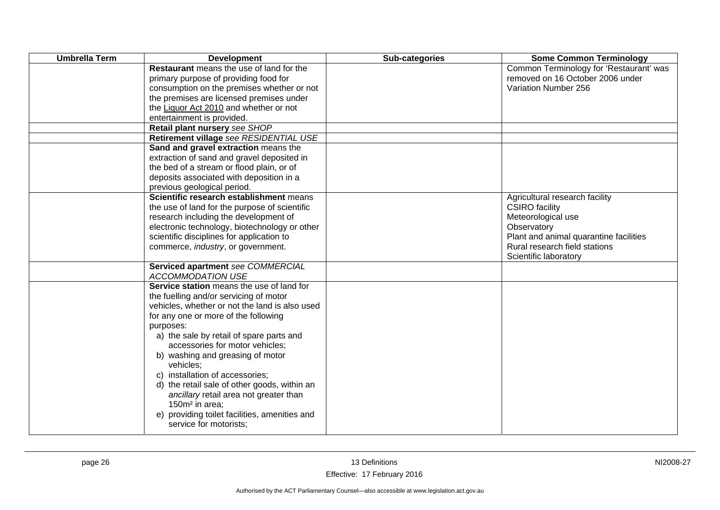| <b>Umbrella Term</b> | <b>Development</b>                                                                                                                                                                                                                                                                                                                                                                                                                                                                                                                                               | Sub-categories | <b>Some Common Terminology</b>                                                                                                                                                                   |
|----------------------|------------------------------------------------------------------------------------------------------------------------------------------------------------------------------------------------------------------------------------------------------------------------------------------------------------------------------------------------------------------------------------------------------------------------------------------------------------------------------------------------------------------------------------------------------------------|----------------|--------------------------------------------------------------------------------------------------------------------------------------------------------------------------------------------------|
|                      | <b>Restaurant</b> means the use of land for the<br>primary purpose of providing food for<br>consumption on the premises whether or not<br>the premises are licensed premises under<br>the Liquor Act 2010 and whether or not                                                                                                                                                                                                                                                                                                                                     |                | Common Terminology for 'Restaurant' was<br>removed on 16 October 2006 under<br>Variation Number 256                                                                                              |
|                      | entertainment is provided.<br>Retail plant nursery see SHOP                                                                                                                                                                                                                                                                                                                                                                                                                                                                                                      |                |                                                                                                                                                                                                  |
|                      | Retirement village see RESIDENTIAL USE                                                                                                                                                                                                                                                                                                                                                                                                                                                                                                                           |                |                                                                                                                                                                                                  |
|                      | Sand and gravel extraction means the<br>extraction of sand and gravel deposited in<br>the bed of a stream or flood plain, or of<br>deposits associated with deposition in a<br>previous geological period.                                                                                                                                                                                                                                                                                                                                                       |                |                                                                                                                                                                                                  |
|                      | Scientific research establishment means<br>the use of land for the purpose of scientific<br>research including the development of<br>electronic technology, biotechnology or other<br>scientific disciplines for application to<br>commerce, <i>industry</i> , or government.                                                                                                                                                                                                                                                                                    |                | Agricultural research facility<br><b>CSIRO</b> facility<br>Meteorological use<br>Observatory<br>Plant and animal quarantine facilities<br>Rural research field stations<br>Scientific laboratory |
|                      | Serviced apartment see COMMERCIAL<br><b>ACCOMMODATION USE</b>                                                                                                                                                                                                                                                                                                                                                                                                                                                                                                    |                |                                                                                                                                                                                                  |
|                      | Service station means the use of land for<br>the fuelling and/or servicing of motor<br>vehicles, whether or not the land is also used<br>for any one or more of the following<br>purposes:<br>a) the sale by retail of spare parts and<br>accessories for motor vehicles;<br>b) washing and greasing of motor<br>vehicles:<br>c) installation of accessories;<br>d) the retail sale of other goods, within an<br>ancillary retail area not greater than<br>150m <sup>2</sup> in area;<br>e) providing toilet facilities, amenities and<br>service for motorists; |                |                                                                                                                                                                                                  |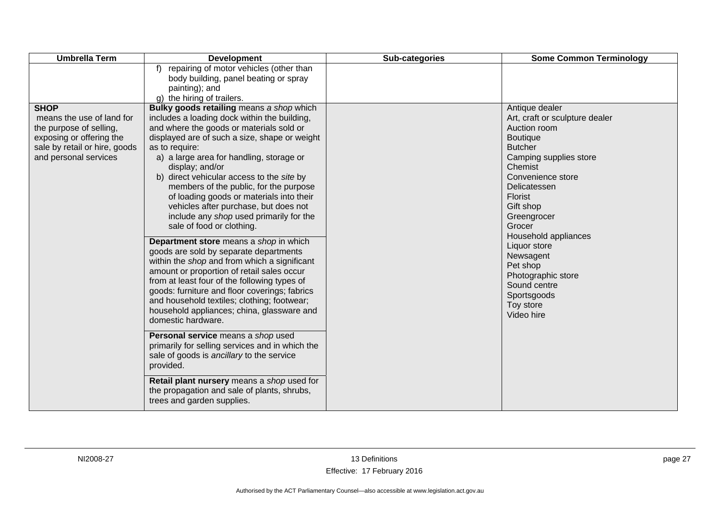| <b>Umbrella Term</b>                                                                                                                                      | <b>Development</b>                                                                                                                                                                                                                                                                                                                                                                                                                                                                                                                                                                                                                                                                                                                                                                                                                                                                                                                                                                                                                                                                                                                                                                                             | Sub-categories | <b>Some Common Terminology</b>                                                                                                                                                                                                                                                                                                                                                           |
|-----------------------------------------------------------------------------------------------------------------------------------------------------------|----------------------------------------------------------------------------------------------------------------------------------------------------------------------------------------------------------------------------------------------------------------------------------------------------------------------------------------------------------------------------------------------------------------------------------------------------------------------------------------------------------------------------------------------------------------------------------------------------------------------------------------------------------------------------------------------------------------------------------------------------------------------------------------------------------------------------------------------------------------------------------------------------------------------------------------------------------------------------------------------------------------------------------------------------------------------------------------------------------------------------------------------------------------------------------------------------------------|----------------|------------------------------------------------------------------------------------------------------------------------------------------------------------------------------------------------------------------------------------------------------------------------------------------------------------------------------------------------------------------------------------------|
|                                                                                                                                                           | f) repairing of motor vehicles (other than<br>body building, panel beating or spray<br>painting); and<br>g) the hiring of trailers.                                                                                                                                                                                                                                                                                                                                                                                                                                                                                                                                                                                                                                                                                                                                                                                                                                                                                                                                                                                                                                                                            |                |                                                                                                                                                                                                                                                                                                                                                                                          |
| <b>SHOP</b><br>means the use of land for<br>the purpose of selling,<br>exposing or offering the<br>sale by retail or hire, goods<br>and personal services | Bulky goods retailing means a shop which<br>includes a loading dock within the building,<br>and where the goods or materials sold or<br>displayed are of such a size, shape or weight<br>as to require:<br>a) a large area for handling, storage or<br>display; and/or<br>b) direct vehicular access to the site by<br>members of the public, for the purpose<br>of loading goods or materials into their<br>vehicles after purchase, but does not<br>include any shop used primarily for the<br>sale of food or clothing.<br>Department store means a shop in which<br>goods are sold by separate departments<br>within the shop and from which a significant<br>amount or proportion of retail sales occur<br>from at least four of the following types of<br>goods: furniture and floor coverings; fabrics<br>and household textiles; clothing; footwear;<br>household appliances; china, glassware and<br>domestic hardware.<br>Personal service means a shop used<br>primarily for selling services and in which the<br>sale of goods is ancillary to the service<br>provided.<br>Retail plant nursery means a shop used for<br>the propagation and sale of plants, shrubs,<br>trees and garden supplies. |                | Antique dealer<br>Art, craft or sculpture dealer<br>Auction room<br><b>Boutique</b><br><b>Butcher</b><br>Camping supplies store<br>Chemist<br>Convenience store<br>Delicatessen<br><b>Florist</b><br>Gift shop<br>Greengrocer<br>Grocer<br>Household appliances<br>Liquor store<br>Newsagent<br>Pet shop<br>Photographic store<br>Sound centre<br>Sportsgoods<br>Toy store<br>Video hire |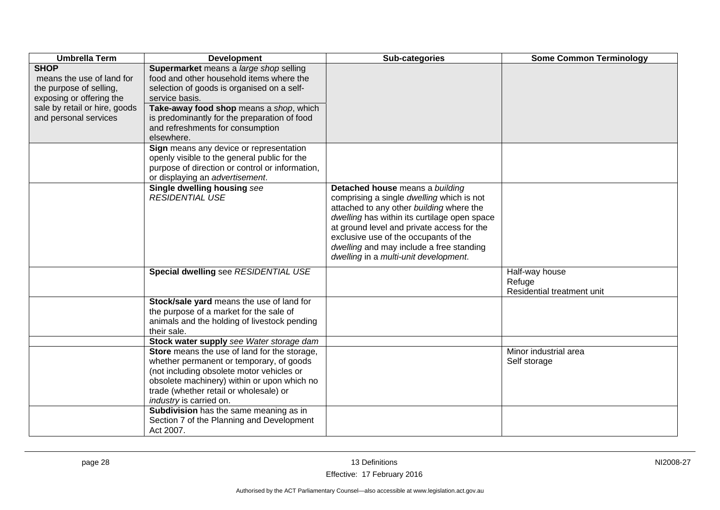| <b>Umbrella Term</b>                                                                                                                                      | <b>Development</b>                                                                                                                                                                                                                                                                                  | Sub-categories                                                                                                                                                                                                                                                                                                                                       | <b>Some Common Terminology</b>                         |
|-----------------------------------------------------------------------------------------------------------------------------------------------------------|-----------------------------------------------------------------------------------------------------------------------------------------------------------------------------------------------------------------------------------------------------------------------------------------------------|------------------------------------------------------------------------------------------------------------------------------------------------------------------------------------------------------------------------------------------------------------------------------------------------------------------------------------------------------|--------------------------------------------------------|
| <b>SHOP</b><br>means the use of land for<br>the purpose of selling,<br>exposing or offering the<br>sale by retail or hire, goods<br>and personal services | Supermarket means a large shop selling<br>food and other household items where the<br>selection of goods is organised on a self-<br>service basis.<br>Take-away food shop means a shop, which<br>is predominantly for the preparation of food<br>and refreshments for consumption<br>elsewhere.     |                                                                                                                                                                                                                                                                                                                                                      |                                                        |
|                                                                                                                                                           | Sign means any device or representation<br>openly visible to the general public for the<br>purpose of direction or control or information,<br>or displaying an advertisement.                                                                                                                       |                                                                                                                                                                                                                                                                                                                                                      |                                                        |
|                                                                                                                                                           | Single dwelling housing see<br><b>RESIDENTIAL USE</b>                                                                                                                                                                                                                                               | Detached house means a building<br>comprising a single dwelling which is not<br>attached to any other building where the<br>dwelling has within its curtilage open space<br>at ground level and private access for the<br>exclusive use of the occupants of the<br>dwelling and may include a free standing<br>dwelling in a multi-unit development. |                                                        |
|                                                                                                                                                           | Special dwelling see RESIDENTIAL USE                                                                                                                                                                                                                                                                |                                                                                                                                                                                                                                                                                                                                                      | Half-way house<br>Refuge<br>Residential treatment unit |
|                                                                                                                                                           | Stock/sale yard means the use of land for<br>the purpose of a market for the sale of<br>animals and the holding of livestock pending<br>their sale.                                                                                                                                                 |                                                                                                                                                                                                                                                                                                                                                      |                                                        |
|                                                                                                                                                           | Stock water supply see Water storage dam                                                                                                                                                                                                                                                            |                                                                                                                                                                                                                                                                                                                                                      |                                                        |
|                                                                                                                                                           | Store means the use of land for the storage,<br>whether permanent or temporary, of goods<br>(not including obsolete motor vehicles or<br>obsolete machinery) within or upon which no<br>trade (whether retail or wholesale) or<br>industry is carried on.<br>Subdivision has the same meaning as in |                                                                                                                                                                                                                                                                                                                                                      | Minor industrial area<br>Self storage                  |
|                                                                                                                                                           | Section 7 of the Planning and Development<br>Act 2007.                                                                                                                                                                                                                                              |                                                                                                                                                                                                                                                                                                                                                      |                                                        |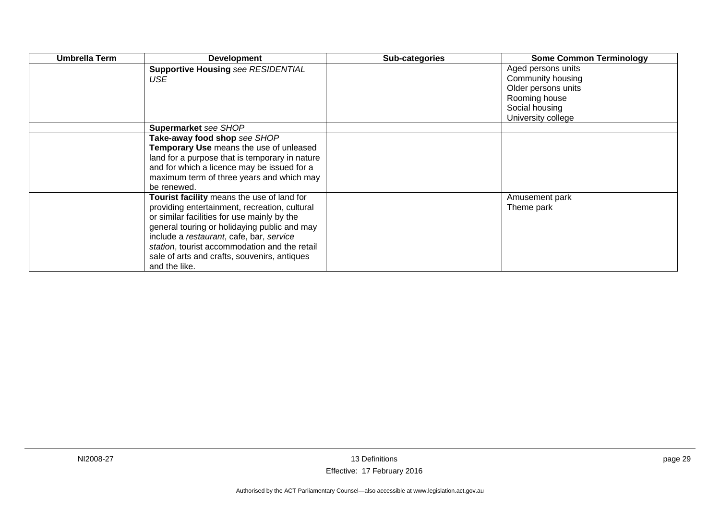| <b>Umbrella Term</b> | <b>Development</b>                             | Sub-categories | <b>Some Common Terminology</b> |
|----------------------|------------------------------------------------|----------------|--------------------------------|
|                      | <b>Supportive Housing see RESIDENTIAL</b>      |                | Aged persons units             |
|                      | <b>USE</b>                                     |                | Community housing              |
|                      |                                                |                | Older persons units            |
|                      |                                                |                | Rooming house                  |
|                      |                                                |                | Social housing                 |
|                      |                                                |                | University college             |
|                      | Supermarket see SHOP                           |                |                                |
|                      | Take-away food shop see SHOP                   |                |                                |
|                      | Temporary Use means the use of unleased        |                |                                |
|                      | land for a purpose that is temporary in nature |                |                                |
|                      | and for which a licence may be issued for a    |                |                                |
|                      | maximum term of three years and which may      |                |                                |
|                      | be renewed.                                    |                |                                |
|                      | Tourist facility means the use of land for     |                | Amusement park                 |
|                      | providing entertainment, recreation, cultural  |                | Theme park                     |
|                      | or similar facilities for use mainly by the    |                |                                |
|                      | general touring or holidaying public and may   |                |                                |
|                      | include a restaurant, cafe, bar, service       |                |                                |
|                      | station, tourist accommodation and the retail  |                |                                |
|                      | sale of arts and crafts, souvenirs, antiques   |                |                                |
|                      | and the like.                                  |                |                                |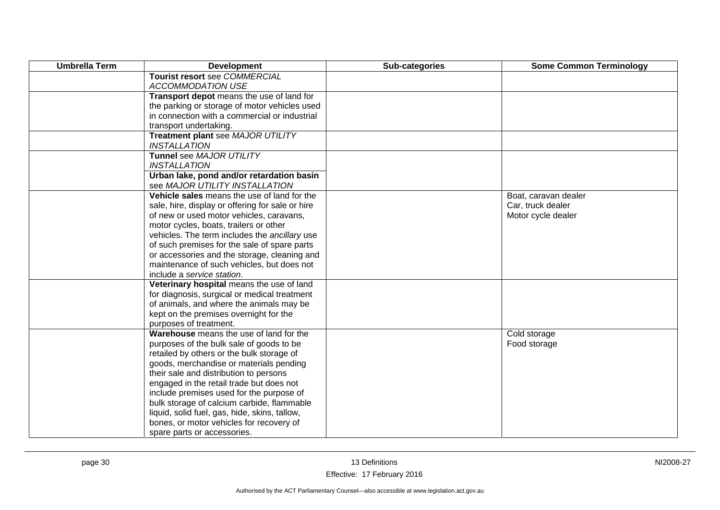| <b>Umbrella Term</b> | <b>Development</b>                                       | Sub-categories | <b>Some Common Terminology</b> |
|----------------------|----------------------------------------------------------|----------------|--------------------------------|
|                      | Tourist resort see COMMERCIAL                            |                |                                |
|                      | <b>ACCOMMODATION USE</b>                                 |                |                                |
|                      | Transport depot means the use of land for                |                |                                |
|                      | the parking or storage of motor vehicles used            |                |                                |
|                      | in connection with a commercial or industrial            |                |                                |
|                      | transport undertaking.                                   |                |                                |
|                      | Treatment plant see MAJOR UTILITY<br><b>INSTALLATION</b> |                |                                |
|                      | Tunnel see MAJOR UTILITY                                 |                |                                |
|                      | <b>INSTALLATION</b>                                      |                |                                |
|                      | Urban lake, pond and/or retardation basin                |                |                                |
|                      | see MAJOR UTILITY INSTALLATION                           |                |                                |
|                      | Vehicle sales means the use of land for the              |                | Boat, caravan dealer           |
|                      | sale, hire, display or offering for sale or hire         |                | Car, truck dealer              |
|                      | of new or used motor vehicles, caravans,                 |                | Motor cycle dealer             |
|                      | motor cycles, boats, trailers or other                   |                |                                |
|                      | vehicles. The term includes the ancillary use            |                |                                |
|                      | of such premises for the sale of spare parts             |                |                                |
|                      | or accessories and the storage, cleaning and             |                |                                |
|                      | maintenance of such vehicles, but does not               |                |                                |
|                      | include a service station.                               |                |                                |
|                      | Veterinary hospital means the use of land                |                |                                |
|                      | for diagnosis, surgical or medical treatment             |                |                                |
|                      | of animals, and where the animals may be                 |                |                                |
|                      | kept on the premises overnight for the                   |                |                                |
|                      | purposes of treatment.                                   |                |                                |
|                      | Warehouse means the use of land for the                  |                | Cold storage                   |
|                      | purposes of the bulk sale of goods to be                 |                | Food storage                   |
|                      | retailed by others or the bulk storage of                |                |                                |
|                      | goods, merchandise or materials pending                  |                |                                |
|                      | their sale and distribution to persons                   |                |                                |
|                      | engaged in the retail trade but does not                 |                |                                |
|                      | include premises used for the purpose of                 |                |                                |
|                      | bulk storage of calcium carbide, flammable               |                |                                |
|                      | liquid, solid fuel, gas, hide, skins, tallow,            |                |                                |
|                      | bones, or motor vehicles for recovery of                 |                |                                |
|                      | spare parts or accessories.                              |                |                                |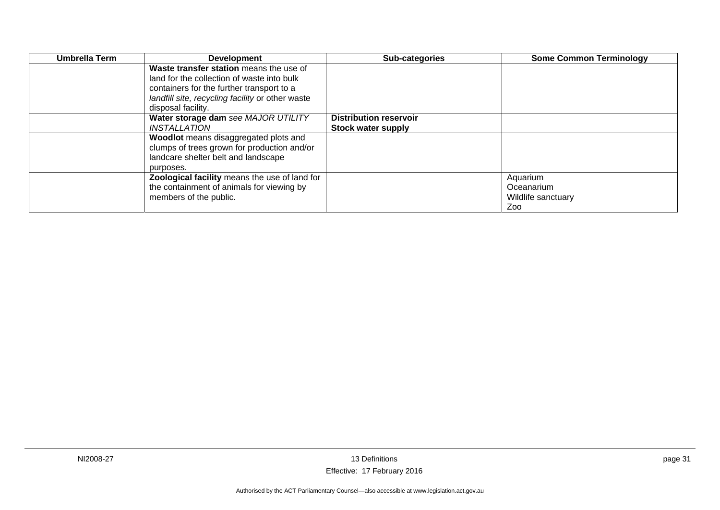| Umbrella Term | <b>Development</b>                               | Sub-categories                | <b>Some Common Terminology</b> |
|---------------|--------------------------------------------------|-------------------------------|--------------------------------|
|               | Waste transfer station means the use of          |                               |                                |
|               | land for the collection of waste into bulk       |                               |                                |
|               | containers for the further transport to a        |                               |                                |
|               | landfill site, recycling facility or other waste |                               |                                |
|               | disposal facility.                               |                               |                                |
|               | Water storage dam see MAJOR UTILITY              | <b>Distribution reservoir</b> |                                |
|               | INSTALLATION                                     | <b>Stock water supply</b>     |                                |
|               | Woodlot means disaggregated plots and            |                               |                                |
|               | clumps of trees grown for production and/or      |                               |                                |
|               | landcare shelter belt and landscape              |                               |                                |
|               | purposes.                                        |                               |                                |
|               | Zoological facility means the use of land for    |                               | Aquarium                       |
|               | the containment of animals for viewing by        |                               | Oceanarium                     |
|               | members of the public.                           |                               | Wildlife sanctuary             |
|               |                                                  |                               | Zoo                            |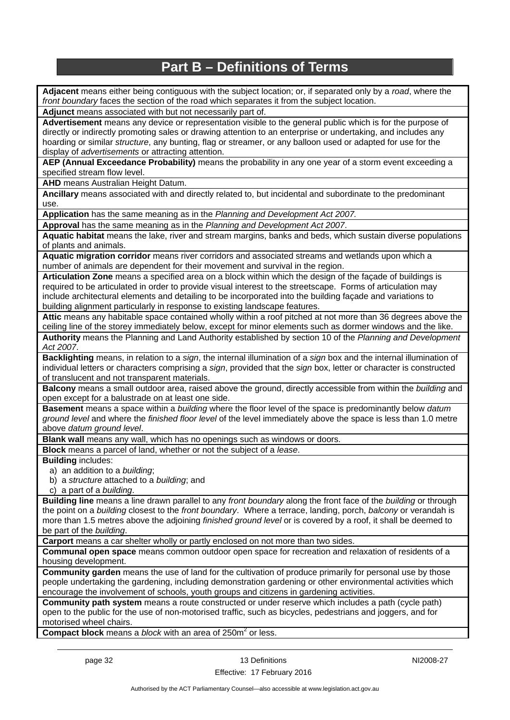## **Part B – Definitions of Terms**

**Adjacent** means either being contiguous with the subject location; or, if separated only by a *road*, where the *front boundary* faces the section of the road which separates it from the subject location.

**Adjunct** means associated with but not necessarily part of.

**Advertisement** means any device or representation visible to the general public which is for the purpose of directly or indirectly promoting sales or drawing attention to an enterprise or undertaking, and includes any hoarding or similar *structure*, any bunting, flag or streamer, or any balloon used or adapted for use for the display of *advertisements* or attracting attention.

**AEP (Annual Exceedance Probability)** means the probability in any one year of a storm event exceeding a specified stream flow level.

**AHD** means Australian Height Datum.

**Ancillary** means associated with and directly related to, but incidental and subordinate to the predominant use.

**Application** has the same meaning as in the *Planning and Development Act 2007.*

**Approval** has the same meaning as in the *Planning and Development Act 2007*.

**Aquatic habitat** means the lake, river and stream margins, banks and beds, which sustain diverse populations of plants and animals.

**Aquatic migration corridor** means river corridors and associated streams and wetlands upon which a number of animals are dependent for their movement and survival in the region.

**Articulation Zone** means a specified area on a block within which the design of the façade of buildings is required to be articulated in order to provide visual interest to the streetscape. Forms of articulation may include architectural elements and detailing to be incorporated into the building façade and variations to building alignment particularly in response to existing landscape features.

**Attic** means any habitable space contained wholly within a roof pitched at not more than 36 degrees above the ceiling line of the storey immediately below, except for minor elements such as dormer windows and the like.

**Authority** means the Planning and Land Authority established by section 10 of the *Planning and Development Act 2007*.

**Backlighting** means, in relation to a *sign*, the internal illumination of a *sign* box and the internal illumination of individual letters or characters comprising a *sign*, provided that the *sign* box, letter or character is constructed of translucent and not transparent materials.

**Balcony** means a small outdoor area, raised above the ground, directly accessible from within the *building* and open except for a balustrade on at least one side.

**Basement** means a space within a *building* where the floor level of the space is predominantly below *datum ground level* and where the *finished floor level* of the level immediately above the space is less than 1.0 metre above *datum ground level*.

**Blank wall** means any wall, which has no openings such as windows or doors.

**Block** means a parcel of land, whether or not the subject of a *lease*.

**Building** includes:

a) an addition to a *building*;

b) a *structure* attached to a *building*; and

c) a part of a *building*.

**Building line** means a line drawn parallel to any *front boundary* along the front face of the *building* or through the point on a *building* closest to the *front boundary*. Where a terrace, landing, porch, *balcony* or verandah is more than 1.5 metres above the adjoining *finished ground level* or is covered by a roof, it shall be deemed to be part of the *building*.

**Carport** means a car shelter wholly or partly enclosed on not more than two sides.

**Communal open space** means common outdoor open space for recreation and relaxation of residents of a housing development.

**Community garden** means the use of land for the cultivation of produce primarily for personal use by those people undertaking the gardening, including demonstration gardening or other environmental activities which encourage the involvement of schools, youth groups and citizens in gardening activities.

**Community path system** means a route constructed or under reserve which includes a path (cycle path) open to the public for the use of non-motorised traffic, such as bicycles, pedestrians and joggers, and for motorised wheel chairs.

**Compact block** means a *block* with an area of 250m<sup>2</sup> or less.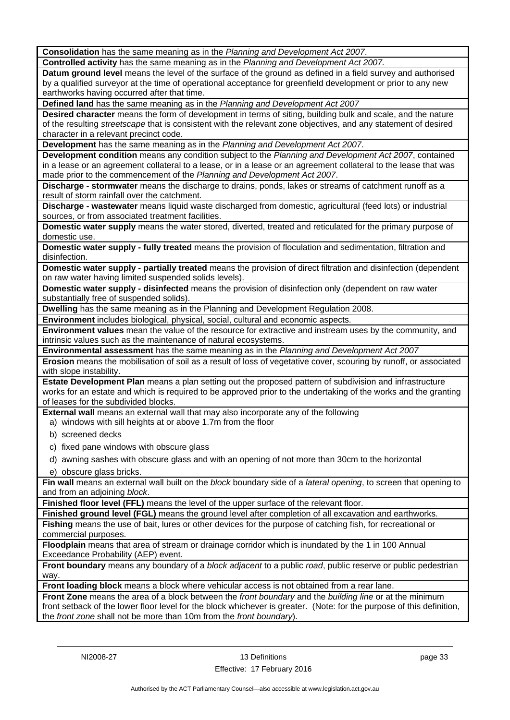**Consolidation** has the same meaning as in the *Planning and Development Act 2007*.

**Controlled activity** has the same meaning as in the *Planning and Development Act 2007.*

**Datum ground level** means the level of the surface of the ground as defined in a field survey and authorised by a qualified surveyor at the time of operational acceptance for greenfield development or prior to any new earthworks having occurred after that time.

**Defined land** has the same meaning as in the *Planning and Development Act 2007*

**Desired character** means the form of development in terms of siting, building bulk and scale, and the nature of the resulting *streetscape* that is consistent with the relevant zone objectives, and any statement of desired character in a relevant precinct code.

**Development** has the same meaning as in the *Planning and Development Act 2007*.

**Development condition** means any condition subject to the *Planning and Development Act 2007*, contained in a lease or an agreement collateral to a lease, or in a lease or an agreement collateral to the lease that was made prior to the commencement of the *Planning and Development Act 2007*.

**Discharge - stormwater** means the discharge to drains, ponds, lakes or streams of catchment runoff as a result of storm rainfall over the catchment.

**Discharge - wastewater** means liquid waste discharged from domestic, agricultural (feed lots) or industrial sources, or from associated treatment facilities.

**Domestic water supply** means the water stored, diverted, treated and reticulated for the primary purpose of domestic use.

**Domestic water supply - fully treated** means the provision of floculation and sedimentation, filtration and disinfection.

**Domestic water supply - partially treated** means the provision of direct filtration and disinfection (dependent on raw water having limited suspended solids levels).

**Domestic water supply - disinfected** means the provision of disinfection only (dependent on raw water substantially free of suspended solids).

**Dwelling** has the same meaning as in the Planning and Development Regulation 2008.

**Environment** includes biological, physical, social, cultural and economic aspects.

**Environment values** mean the value of the resource for extractive and instream uses by the community, and intrinsic values such as the maintenance of natural ecosystems.

**Environmental assessment** has the same meaning as in the *Planning and Development Act 2007*

**Erosion** means the mobilisation of soil as a result of loss of vegetative cover, scouring by runoff, or associated with slope instability.

**Estate Development Plan** means a plan setting out the proposed pattern of subdivision and infrastructure works for an estate and which is required to be approved prior to the undertaking of the works and the granting of leases for the subdivided blocks.

**External wall** means an external wall that may also incorporate any of the following

a) windows with sill heights at or above 1.7m from the floor

- b) screened decks
- c) fixed pane windows with obscure glass
- d) awning sashes with obscure glass and with an opening of not more than 30cm to the horizontal
- e) obscure glass bricks.

**Fin wall** means an external wall built on the *block* boundary side of a *lateral opening*, to screen that opening to and from an adjoining *block*.

**Finished floor level (FFL)** means the level of the upper surface of the relevant floor.

**Finished ground level (FGL)** means the ground level after completion of all excavation and earthworks.

**Fishing** means the use of bait, lures or other devices for the purpose of catching fish, for recreational or commercial purposes.

**Floodplain** means that area of stream or drainage corridor which is inundated by the 1 in 100 Annual Exceedance Probability (AEP) event.

**Front boundary** means any boundary of a *block adjacent* to a public *road*, public reserve or public pedestrian way.

**Front loading block** means a block where vehicular access is not obtained from a rear lane.

**Front Zone** means the area of a block between the *front boundary* and the *building line* or at the minimum front setback of the lower floor level for the block whichever is greater. (Note: for the purpose of this definition, the *front zone* shall not be more than 10m from the *front boundary*).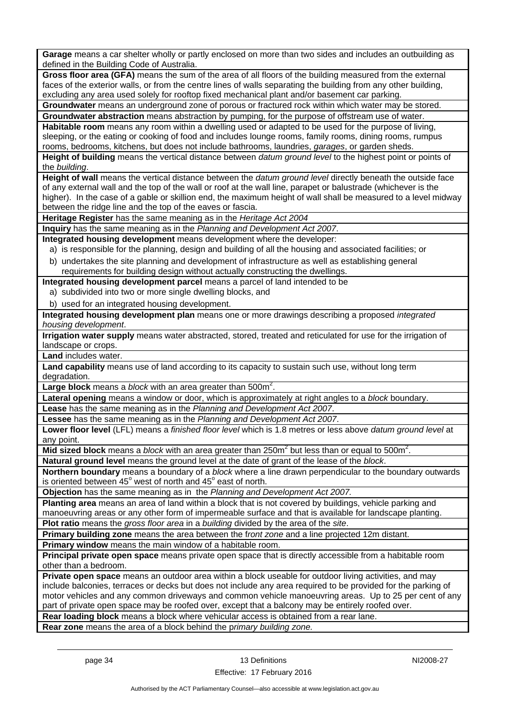**Garage** means a car shelter wholly or partly enclosed on more than two sides and includes an outbuilding as defined in the Building Code of Australia.

**Gross floor area (GFA)** means the sum of the area of all floors of the building measured from the external faces of the exterior walls, or from the centre lines of walls separating the building from any other building, excluding any area used solely for rooftop fixed mechanical plant and/or basement car parking.

**Groundwater** means an underground zone of porous or fractured rock within which water may be stored. **Groundwater abstraction** means abstraction by pumping, for the purpose of offstream use of water.

**Habitable room** means any room within a dwelling used or adapted to be used for the purpose of living, sleeping, or the eating or cooking of food and includes lounge rooms, family rooms, dining rooms, rumpus rooms, bedrooms, kitchens, but does not include bathrooms, laundries, *garages*, or garden sheds.

**Height of building** means the vertical distance between *datum ground level* to the highest point or points of the *building*.

**Height of wall** means the vertical distance between the *datum ground level* directly beneath the outside face of any external wall and the top of the wall or roof at the wall line, parapet or balustrade (whichever is the higher). In the case of a gable or skillion end, the maximum height of wall shall be measured to a level midway between the ridge line and the top of the eaves or fascia.

**Heritage Register** has the same meaning as in the *Heritage Act 2004*

**Inquiry** has the same meaning as in the *Planning and Development Act 2007*.

**Integrated housing development** means development where the developer:

a) is responsible for the planning, design and building of all the housing and associated facilities; or

b) undertakes the site planning and development of infrastructure as well as establishing general requirements for building design without actually constructing the dwellings.

**Integrated housing development parcel** means a parcel of land intended to be

- a) subdivided into two or more single dwelling blocks, and
- b) used for an integrated housing development.

**Integrated housing development plan** means one or more drawings describing a proposed *integrated housing development*.

**Irrigation water supply** means water abstracted, stored, treated and reticulated for use for the irrigation of landscape or crops.

**Land** includes water.

**Land capability** means use of land according to its capacity to sustain such use, without long term degradation

Large block means a *block* with an area greater than 500m<sup>2</sup>.

**Lateral opening** means a window or door, which is approximately at right angles to a *block* boundary.

**Lease** has the same meaning as in the *Planning and Development Act 2007*.

**Lessee** has the same meaning as in the *Planning and Development Act 2007*.

**Lower floor level** (LFL) means a *finished floor level* which is 1.8 metres or less above *datum ground level* at any point.

Mid sized block means a *block* with an area greater than 250m<sup>2</sup> but less than or equal to 500m<sup>2</sup>.

**Natural ground level** means the ground level at the date of grant of the lease of the *block*.

**Northern boundary** means a boundary of a *block* where a line drawn perpendicular to the boundary outwards is oriented between  $45^{\circ}$  west of north and  $45^{\circ}$  east of north.

**Objection** has the same meaning as in the *Planning and Development Act 2007.*

**Planting area** means an area of land within a block that is not covered by buildings, vehicle parking and manoeuvring areas or any other form of impermeable surface and that is available for landscape planting.

**Plot ratio** means the *gross floor area* in a *building* divided by the area of the *site*.

**Primary building zone** means the area between the f*ront zone* and a line projected 12m distant.

**Primary window** means the main window of a habitable room.

**Principal private open space** means private open space that is directly accessible from a habitable room other than a bedroom.

**Private open space** means an outdoor area within a block useable for outdoor living activities, and may include balconies, terraces or decks but does not include any area required to be provided for the parking of motor vehicles and any common driveways and common vehicle manoeuvring areas. Up to 25 per cent of any part of private open space may be roofed over, except that a balcony may be entirely roofed over.

**Rear loading block** means a block where vehicular access is obtained from a rear lane.

**Rear zone** means the area of a block behind the p*rimary building zone.*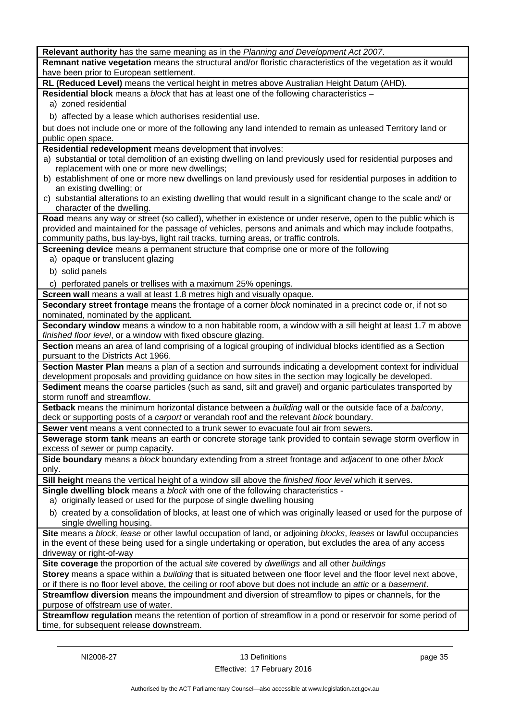| Relevant authority has the same meaning as in the Planning and Development Act 2007.                                                                                          |
|-------------------------------------------------------------------------------------------------------------------------------------------------------------------------------|
| Remnant native vegetation means the structural and/or floristic characteristics of the vegetation as it would                                                                 |
| have been prior to European settlement.                                                                                                                                       |
| RL (Reduced Level) means the vertical height in metres above Australian Height Datum (AHD).                                                                                   |
| Residential block means a block that has at least one of the following characteristics -                                                                                      |
| a) zoned residential                                                                                                                                                          |
| b) affected by a lease which authorises residential use.                                                                                                                      |
|                                                                                                                                                                               |
| but does not include one or more of the following any land intended to remain as unleased Territory land or<br>public open space.                                             |
|                                                                                                                                                                               |
| Residential redevelopment means development that involves:<br>a) substantial or total demolition of an existing dwelling on land previously used for residential purposes and |
| replacement with one or more new dwellings;                                                                                                                                   |
| b) establishment of one or more new dwellings on land previously used for residential purposes in addition to                                                                 |
| an existing dwelling; or                                                                                                                                                      |
| c) substantial alterations to an existing dwelling that would result in a significant change to the scale and/or                                                              |
| character of the dwelling.                                                                                                                                                    |
| Road means any way or street (so called), whether in existence or under reserve, open to the public which is                                                                  |
| provided and maintained for the passage of vehicles, persons and animals and which may include footpaths,                                                                     |
| community paths, bus lay-bys, light rail tracks, turning areas, or traffic controls.                                                                                          |
| Screening device means a permanent structure that comprise one or more of the following                                                                                       |
| a) opaque or translucent glazing                                                                                                                                              |
| b) solid panels                                                                                                                                                               |
| c) perforated panels or trellises with a maximum 25% openings.                                                                                                                |
| Screen wall means a wall at least 1.8 metres high and visually opaque.                                                                                                        |
| Secondary street frontage means the frontage of a corner block nominated in a precinct code or, if not so                                                                     |
| nominated, nominated by the applicant.                                                                                                                                        |
| Secondary window means a window to a non habitable room, a window with a sill height at least 1.7 m above                                                                     |
| finished floor level, or a window with fixed obscure glazing.                                                                                                                 |
| Section means an area of land comprising of a logical grouping of individual blocks identified as a Section                                                                   |
| pursuant to the Districts Act 1966.                                                                                                                                           |
| Section Master Plan means a plan of a section and surrounds indicating a development context for individual                                                                   |
| development proposals and providing guidance on how sites in the section may logically be developed.                                                                          |
| Sediment means the coarse particles (such as sand, silt and gravel) and organic particulates transported by                                                                   |
| storm runoff and streamflow.                                                                                                                                                  |
| Setback means the minimum horizontal distance between a building wall or the outside face of a balcony,                                                                       |
| deck or supporting posts of a carport or verandah roof and the relevant block boundary.                                                                                       |
| Sewer vent means a vent connected to a trunk sewer to evacuate foul air from sewers.                                                                                          |
| Sewerage storm tank means an earth or concrete storage tank provided to contain sewage storm overflow in                                                                      |
| excess of sewer or pump capacity.                                                                                                                                             |
| Side boundary means a block boundary extending from a street frontage and adjacent to one other block                                                                         |
| only.                                                                                                                                                                         |
| Sill height means the vertical height of a window sill above the finished floor level which it serves.                                                                        |
| Single dwelling block means a block with one of the following characteristics -                                                                                               |
| a) originally leased or used for the purpose of single dwelling housing                                                                                                       |
| b) created by a consolidation of blocks, at least one of which was originally leased or used for the purpose of                                                               |
| single dwelling housing.                                                                                                                                                      |
| Site means a block, lease or other lawful occupation of land, or adjoining blocks, leases or lawful occupancies                                                               |
| in the event of these being used for a single undertaking or operation, but excludes the area of any access                                                                   |
| driveway or right-of-way                                                                                                                                                      |
| Site coverage the proportion of the actual site covered by dwellings and all other buildings                                                                                  |
| Storey means a space within a building that is situated between one floor level and the floor level next above,                                                               |
| or if there is no floor level above, the ceiling or roof above but does not include an attic or a basement.                                                                   |
| Streamflow diversion means the impoundment and diversion of streamflow to pipes or channels, for the                                                                          |
| purpose of offstream use of water.                                                                                                                                            |
| Streamflow regulation means the retention of portion of streamflow in a pond or reservoir for some period of                                                                  |
| time, for subsequent release downstream.                                                                                                                                      |